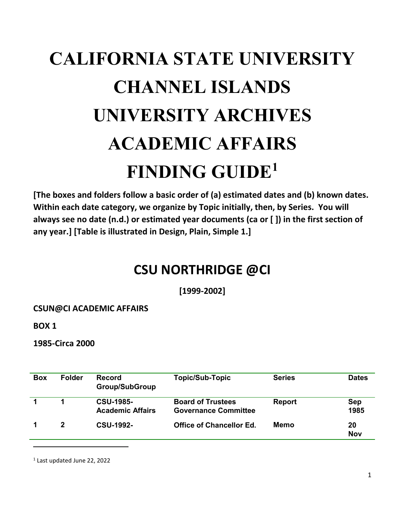# **CALIFORNIA STATE UNIVERSITY CHANNEL ISLANDS UNIVERSITY ARCHIVES ACADEMIC AFFAIRS FINDING GUIDE 1**

**[The boxes and folders follow a basic order of (a) estimated dates and (b) known dates. Within each date category, we organize by Topic initially, then, by Series. You will always see no date (n.d.) or estimated year documents (ca or [ ]) in the first section of any year.] [Table is illustrated in Design, Plain, Simple 1.]**

# **CSU NORTHRIDGE @CI**

**[1999-2002]**

### **CSUN@CI ACADEMIC AFFAIRS**

**BOX 1**

 $\overline{a}$ 

**1985-Circa 2000**

| <b>Box</b> | <b>Folder</b> | <b>Record</b><br><b>Group/SubGroup</b>      | <b>Topic/Sub-Topic</b>                                  | <b>Series</b> | <b>Dates</b>       |
|------------|---------------|---------------------------------------------|---------------------------------------------------------|---------------|--------------------|
|            |               | <b>CSU-1985-</b><br><b>Academic Affairs</b> | <b>Board of Trustees</b><br><b>Governance Committee</b> | <b>Report</b> | <b>Sep</b><br>1985 |
|            | $\mathbf{2}$  | <b>CSU-1992-</b>                            | <b>Office of Chancellor Ed.</b>                         | Memo          | 20<br><b>Nov</b>   |

1 Last updated June 22, 2022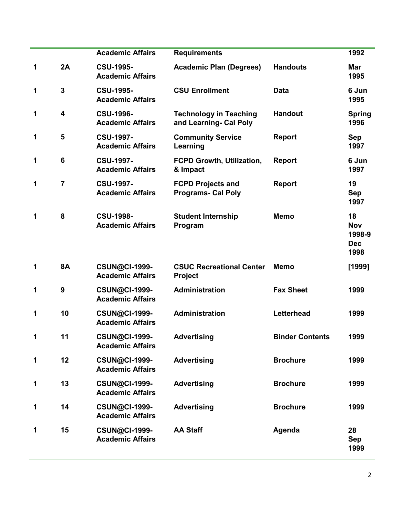|   |                         | <b>Academic Affairs</b>                         | <b>Requirements</b>                                     |                        | 1992                                             |
|---|-------------------------|-------------------------------------------------|---------------------------------------------------------|------------------------|--------------------------------------------------|
| 1 | 2A                      | <b>CSU-1995-</b><br><b>Academic Affairs</b>     | <b>Academic Plan (Degrees)</b>                          | <b>Handouts</b>        | <b>Mar</b><br>1995                               |
| 1 | $\mathbf{3}$            | <b>CSU-1995-</b><br><b>Academic Affairs</b>     | <b>CSU Enrollment</b>                                   | <b>Data</b>            | 6 Jun<br>1995                                    |
| 1 | $\overline{\mathbf{4}}$ | <b>CSU-1996-</b><br><b>Academic Affairs</b>     | <b>Technology in Teaching</b><br>and Learning- Cal Poly | <b>Handout</b>         | <b>Spring</b><br>1996                            |
| 1 | 5                       | <b>CSU-1997-</b><br><b>Academic Affairs</b>     | <b>Community Service</b><br>Learning                    | Report                 | <b>Sep</b><br>1997                               |
| 1 | $6\phantom{1}6$         | <b>CSU-1997-</b><br><b>Academic Affairs</b>     | <b>FCPD Growth, Utilization,</b><br>& Impact            | <b>Report</b>          | 6 Jun<br>1997                                    |
| 1 | $\overline{7}$          | <b>CSU-1997-</b><br><b>Academic Affairs</b>     | <b>FCPD Projects and</b><br><b>Programs- Cal Poly</b>   | Report                 | 19<br><b>Sep</b><br>1997                         |
| 1 | 8                       | <b>CSU-1998-</b><br><b>Academic Affairs</b>     | <b>Student Internship</b><br>Program                    | <b>Memo</b>            | 18<br><b>Nov</b><br>1998-9<br><b>Dec</b><br>1998 |
| 1 | <b>8A</b>               | <b>CSUN@CI-1999-</b><br><b>Academic Affairs</b> | <b>CSUC Recreational Center</b><br><b>Project</b>       | Memo                   | [1999]                                           |
| 1 | $\boldsymbol{9}$        | <b>CSUN@CI-1999-</b><br><b>Academic Affairs</b> | Administration                                          | <b>Fax Sheet</b>       | 1999                                             |
| 1 | 10                      | <b>CSUN@CI-1999-</b><br><b>Academic Affairs</b> | <b>Administration</b>                                   | Letterhead             | 1999                                             |
| 1 | 11                      | <b>CSUN@CI-1999-</b><br><b>Academic Affairs</b> | <b>Advertising</b>                                      | <b>Binder Contents</b> | 1999                                             |
| 1 | 12                      | <b>CSUN@CI-1999-</b><br><b>Academic Affairs</b> | <b>Advertising</b>                                      | <b>Brochure</b>        | 1999                                             |
| 1 | 13                      | <b>CSUN@CI-1999-</b><br><b>Academic Affairs</b> | <b>Advertising</b>                                      | <b>Brochure</b>        | 1999                                             |
| 1 | 14                      | <b>CSUN@CI-1999-</b><br><b>Academic Affairs</b> | <b>Advertising</b>                                      | <b>Brochure</b>        | 1999                                             |
| 1 | 15                      | <b>CSUN@CI-1999-</b><br><b>Academic Affairs</b> | <b>AA Staff</b>                                         | Agenda                 | 28<br><b>Sep</b><br>1999                         |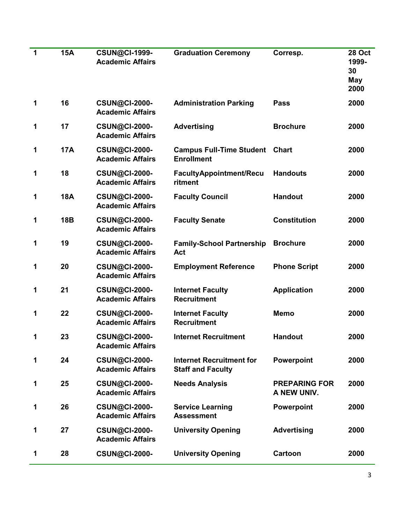| 1 | <b>15A</b> | <b>CSUN@CI-1999-</b><br><b>Academic Affairs</b> | <b>Graduation Ceremony</b>                                  | Corresp.                            | <b>28 Oct</b><br>1999-<br>30<br>May<br>2000 |
|---|------------|-------------------------------------------------|-------------------------------------------------------------|-------------------------------------|---------------------------------------------|
| 1 | 16         | <b>CSUN@CI-2000-</b><br><b>Academic Affairs</b> | <b>Administration Parking</b>                               | <b>Pass</b>                         | 2000                                        |
| 1 | 17         | <b>CSUN@CI-2000-</b><br><b>Academic Affairs</b> | <b>Advertising</b>                                          | <b>Brochure</b>                     | 2000                                        |
| 1 | <b>17A</b> | <b>CSUN@CI-2000-</b><br><b>Academic Affairs</b> | <b>Campus Full-Time Student</b><br><b>Enrollment</b>        | <b>Chart</b>                        | 2000                                        |
| 1 | 18         | <b>CSUN@CI-2000-</b><br><b>Academic Affairs</b> | <b>FacultyAppointment/Recu</b><br>ritment                   | <b>Handouts</b>                     | 2000                                        |
| 1 | <b>18A</b> | <b>CSUN@CI-2000-</b><br><b>Academic Affairs</b> | <b>Faculty Council</b>                                      | <b>Handout</b>                      | 2000                                        |
| 1 | 18B        | <b>CSUN@CI-2000-</b><br><b>Academic Affairs</b> | <b>Faculty Senate</b>                                       | <b>Constitution</b>                 | 2000                                        |
| 1 | 19         | <b>CSUN@CI-2000-</b><br><b>Academic Affairs</b> | <b>Family-School Partnership</b><br>Act                     | <b>Brochure</b>                     | 2000                                        |
| 1 | 20         | <b>CSUN@CI-2000-</b><br><b>Academic Affairs</b> | <b>Employment Reference</b>                                 | <b>Phone Script</b>                 | 2000                                        |
| 1 | 21         | <b>CSUN@CI-2000-</b><br><b>Academic Affairs</b> | <b>Internet Faculty</b><br><b>Recruitment</b>               | <b>Application</b>                  | 2000                                        |
| 1 | 22         | <b>CSUN@CI-2000-</b><br><b>Academic Affairs</b> | <b>Internet Faculty</b><br><b>Recruitment</b>               | <b>Memo</b>                         | 2000                                        |
| 1 | 23         | <b>CSUN@CI-2000-</b><br><b>Academic Affairs</b> | <b>Internet Recruitment</b>                                 | <b>Handout</b>                      | 2000                                        |
| 1 | 24         | <b>CSUN@CI-2000-</b><br><b>Academic Affairs</b> | <b>Internet Recruitment for</b><br><b>Staff and Faculty</b> | Powerpoint                          | 2000                                        |
| 1 | 25         | <b>CSUN@CI-2000-</b><br><b>Academic Affairs</b> | <b>Needs Analysis</b>                                       | <b>PREPARING FOR</b><br>A NEW UNIV. | 2000                                        |
| 1 | 26         | <b>CSUN@CI-2000-</b><br><b>Academic Affairs</b> | <b>Service Learning</b><br><b>Assessment</b>                | Powerpoint                          | 2000                                        |
| 1 | 27         | <b>CSUN@CI-2000-</b><br><b>Academic Affairs</b> | <b>University Opening</b>                                   | <b>Advertising</b>                  | 2000                                        |
| 1 | 28         | <b>CSUN@CI-2000-</b>                            | <b>University Opening</b>                                   | <b>Cartoon</b>                      | 2000                                        |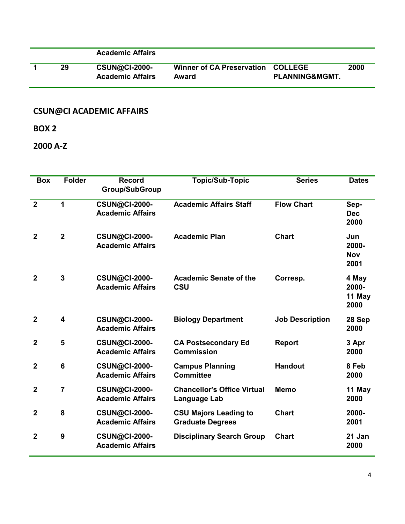|    | <b>Academic Affairs</b>                         |                                            |                           |      |
|----|-------------------------------------------------|--------------------------------------------|---------------------------|------|
| 29 | <b>CSUN@CI-2000-</b><br><b>Academic Affairs</b> | Winner of CA Preservation COLLEGE<br>Award | <b>PLANNING&amp;MGMT.</b> | 2000 |

**BOX 2**

**2000 A-Z**

| <b>Box</b>     | <b>Folder</b>           | <b>Record</b><br><b>Group/SubGroup</b>          | <b>Topic/Sub-Topic</b>                                  | <b>Series</b>          | <b>Dates</b>                       |
|----------------|-------------------------|-------------------------------------------------|---------------------------------------------------------|------------------------|------------------------------------|
| $\overline{2}$ | $\mathbf{1}$            | <b>CSUN@CI-2000-</b><br><b>Academic Affairs</b> | <b>Academic Affairs Staff</b>                           | <b>Flow Chart</b>      | Sep-<br><b>Dec</b><br>2000         |
| $\overline{2}$ | $\overline{2}$          | <b>CSUN@CI-2000-</b><br><b>Academic Affairs</b> | <b>Academic Plan</b>                                    | <b>Chart</b>           | Jun<br>2000-<br><b>Nov</b><br>2001 |
| $\overline{2}$ | $\overline{3}$          | <b>CSUN@CI-2000-</b><br><b>Academic Affairs</b> | <b>Academic Senate of the</b><br>CSU                    | Corresp.               | 4 May<br>2000-<br>11 May<br>2000   |
| $\overline{2}$ | $\overline{\mathbf{4}}$ | <b>CSUN@CI-2000-</b><br><b>Academic Affairs</b> | <b>Biology Department</b>                               | <b>Job Description</b> | 28 Sep<br>2000                     |
| $\mathbf{2}$   | 5                       | <b>CSUN@CI-2000-</b><br><b>Academic Affairs</b> | <b>CA Postsecondary Ed</b><br><b>Commission</b>         | <b>Report</b>          | 3 Apr<br>2000                      |
| $\overline{2}$ | $6\phantom{1}$          | <b>CSUN@CI-2000-</b><br><b>Academic Affairs</b> | <b>Campus Planning</b><br><b>Committee</b>              | <b>Handout</b>         | 8 Feb<br>2000                      |
| $\overline{2}$ | 7                       | <b>CSUN@CI-2000-</b><br><b>Academic Affairs</b> | <b>Chancellor's Office Virtual</b><br>Language Lab      | <b>Memo</b>            | 11 May<br>2000                     |
| $\mathbf{2}$   | 8                       | <b>CSUN@CI-2000-</b><br><b>Academic Affairs</b> | <b>CSU Majors Leading to</b><br><b>Graduate Degrees</b> | <b>Chart</b>           | 2000-<br>2001                      |
| $\overline{2}$ | $\boldsymbol{9}$        | <b>CSUN@CI-2000-</b><br><b>Academic Affairs</b> | <b>Disciplinary Search Group</b>                        | <b>Chart</b>           | 21 Jan<br>2000                     |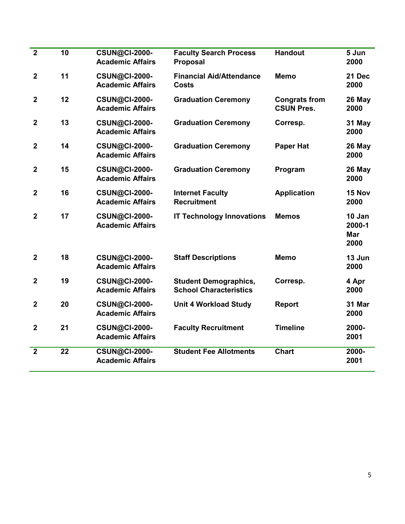| $\overline{\mathbf{2}}$ | 10              | <b>CSUN@CI-2000-</b><br><b>Academic Affairs</b> | <b>Faculty Search Process</b><br><b>Proposal</b>              | <b>Handout</b>                            | 5 Jun<br>2000                          |
|-------------------------|-----------------|-------------------------------------------------|---------------------------------------------------------------|-------------------------------------------|----------------------------------------|
| $\mathbf 2$             | 11              | <b>CSUN@CI-2000-</b><br><b>Academic Affairs</b> | <b>Financial Aid/Attendance</b><br><b>Costs</b>               | <b>Memo</b>                               | 21 Dec<br>2000                         |
| $\mathbf{2}$            | 12              | <b>CSUN@CI-2000-</b><br><b>Academic Affairs</b> | <b>Graduation Ceremony</b>                                    | <b>Congrats from</b><br><b>CSUN Pres.</b> | 26 May<br>2000                         |
| $\mathbf 2$             | 13              | <b>CSUN@CI-2000-</b><br><b>Academic Affairs</b> | <b>Graduation Ceremony</b>                                    | Corresp.                                  | 31 May<br>2000                         |
| $\overline{2}$          | 14              | <b>CSUN@CI-2000-</b><br><b>Academic Affairs</b> | <b>Graduation Ceremony</b>                                    | <b>Paper Hat</b>                          | 26 May<br>2000                         |
| $\mathbf 2$             | 15              | <b>CSUN@CI-2000-</b><br><b>Academic Affairs</b> | <b>Graduation Ceremony</b>                                    | Program                                   | 26 May<br>2000                         |
| $\mathbf 2$             | 16              | <b>CSUN@CI-2000-</b><br><b>Academic Affairs</b> | <b>Internet Faculty</b><br><b>Recruitment</b>                 | <b>Application</b>                        | 15 Nov<br>2000                         |
| $\overline{2}$          | 17              | <b>CSUN@CI-2000-</b><br><b>Academic Affairs</b> | <b>IT Technology Innovations</b>                              | <b>Memos</b>                              | 10 Jan<br>2000-1<br><b>Mar</b><br>2000 |
| $\mathbf{2}$            | 18              | <b>CSUN@CI-2000-</b><br><b>Academic Affairs</b> | <b>Staff Descriptions</b>                                     | <b>Memo</b>                               | 13 Jun<br>2000                         |
| $\mathbf 2$             | 19              | <b>CSUN@CI-2000-</b><br><b>Academic Affairs</b> | <b>Student Demographics,</b><br><b>School Characteristics</b> | Corresp.                                  | 4 Apr<br>2000                          |
| $\mathbf 2$             | 20              | <b>CSUN@CI-2000-</b><br><b>Academic Affairs</b> | <b>Unit 4 Workload Study</b>                                  | Report                                    | 31 Mar<br>2000                         |
| $\overline{2}$          | 21              | <b>CSUN@CI-2000-</b><br><b>Academic Affairs</b> | <b>Faculty Recruitment</b>                                    | <b>Timeline</b>                           | 2000-<br>2001                          |
| $\overline{2}$          | $\overline{22}$ | <b>CSUN@CI-2000-</b><br><b>Academic Affairs</b> | <b>Student Fee Allotments</b>                                 | <b>Chart</b>                              | 2000-<br>2001                          |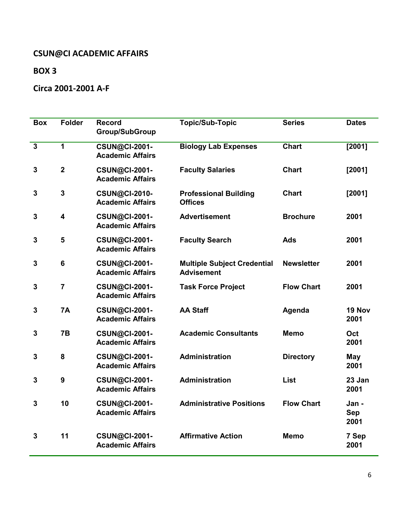## **BOX 3**

## **Circa 2001-2001 A-F**

| <b>Box</b>     | <b>Folder</b>  | <b>Record</b><br><b>Group/SubGroup</b>          | <b>Topic/Sub-Topic</b>                                  | <b>Series</b>     | <b>Dates</b>                |
|----------------|----------------|-------------------------------------------------|---------------------------------------------------------|-------------------|-----------------------------|
| $\overline{3}$ | $\mathbf{1}$   | <b>CSUN@CI-2001-</b><br><b>Academic Affairs</b> | <b>Biology Lab Expenses</b>                             | <b>Chart</b>      | [2001]                      |
| $\mathbf{3}$   | $\overline{2}$ | <b>CSUN@CI-2001-</b><br><b>Academic Affairs</b> | <b>Faculty Salaries</b>                                 | <b>Chart</b>      | [2001]                      |
| 3              | 3              | <b>CSUN@CI-2010-</b><br><b>Academic Affairs</b> | <b>Professional Building</b><br><b>Offices</b>          | <b>Chart</b>      | [2001]                      |
| 3              | 4              | <b>CSUN@CI-2001-</b><br><b>Academic Affairs</b> | <b>Advertisement</b>                                    | <b>Brochure</b>   | 2001                        |
| 3              | 5              | <b>CSUN@CI-2001-</b><br><b>Academic Affairs</b> | <b>Faculty Search</b>                                   | <b>Ads</b>        | 2001                        |
| 3              | 6              | <b>CSUN@CI-2001-</b><br><b>Academic Affairs</b> | <b>Multiple Subject Credential</b><br><b>Advisement</b> | <b>Newsletter</b> | 2001                        |
| 3              | $\overline{7}$ | <b>CSUN@CI-2001-</b><br><b>Academic Affairs</b> | <b>Task Force Project</b>                               | <b>Flow Chart</b> | 2001                        |
| 3              | <b>7A</b>      | <b>CSUN@CI-2001-</b><br><b>Academic Affairs</b> | <b>AA Staff</b>                                         | Agenda            | 19 Nov<br>2001              |
| 3              | 7B             | <b>CSUN@CI-2001-</b><br><b>Academic Affairs</b> | <b>Academic Consultants</b>                             | <b>Memo</b>       | Oct<br>2001                 |
| 3              | 8              | <b>CSUN@CI-2001-</b><br><b>Academic Affairs</b> | <b>Administration</b>                                   | <b>Directory</b>  | <b>May</b><br>2001          |
| 3              | 9              | <b>CSUN@CI-2001-</b><br><b>Academic Affairs</b> | <b>Administration</b>                                   | <b>List</b>       | 23 Jan<br>2001              |
| 3              | 10             | <b>CSUN@CI-2001-</b><br><b>Academic Affairs</b> | <b>Administrative Positions</b>                         | <b>Flow Chart</b> | Jan -<br><b>Sep</b><br>2001 |
| 3              | 11             | <b>CSUN@CI-2001-</b><br><b>Academic Affairs</b> | <b>Affirmative Action</b>                               | <b>Memo</b>       | 7 Sep<br>2001               |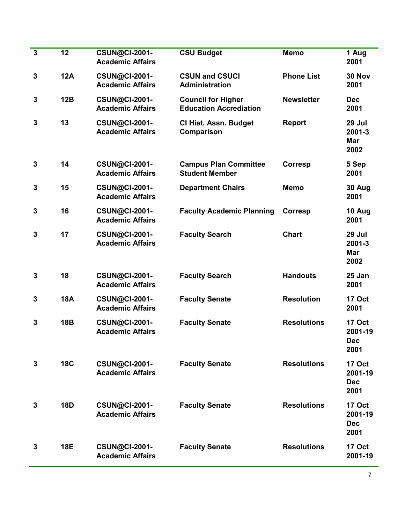| $\mathbf{3}$ | 12         | <b>CSUN@CI-2001-</b><br><b>Academic Affairs</b> | <b>CSU Budget</b>                                          | <b>Memo</b>        | 1 Aug<br>2001                                  |
|--------------|------------|-------------------------------------------------|------------------------------------------------------------|--------------------|------------------------------------------------|
| 3            | <b>12A</b> | <b>CSUN@CI-2001-</b><br><b>Academic Affairs</b> | <b>CSUN and CSUCI</b><br>Administration                    | <b>Phone List</b>  | 30 Nov<br>2001                                 |
| 3            | 12B        | <b>CSUN@CI-2001-</b><br><b>Academic Affairs</b> | <b>Council for Higher</b><br><b>Education Accrediation</b> | <b>Newsletter</b>  | <b>Dec</b><br>2001                             |
| 3            | 13         | <b>CSUN@CI-2001-</b><br><b>Academic Affairs</b> | <b>CI Hist. Assn. Budget</b><br><b>Comparison</b>          | <b>Report</b>      | 29 Jul<br>2001-3<br><b>Mar</b><br>2002         |
| $\mathbf{3}$ | 14         | <b>CSUN@CI-2001-</b><br><b>Academic Affairs</b> | <b>Campus Plan Committee</b><br><b>Student Member</b>      | <b>Corresp</b>     | 5 Sep<br>2001                                  |
| $\mathbf{3}$ | 15         | <b>CSUN@CI-2001-</b><br><b>Academic Affairs</b> | <b>Department Chairs</b>                                   | <b>Memo</b>        | 30 Aug<br>2001                                 |
| 3            | 16         | <b>CSUN@CI-2001-</b><br><b>Academic Affairs</b> | <b>Faculty Academic Planning</b>                           | <b>Corresp</b>     | 10 Aug<br>2001                                 |
| 3            | 17         | <b>CSUN@CI-2001-</b><br><b>Academic Affairs</b> | <b>Faculty Search</b>                                      | <b>Chart</b>       | 29 Jul<br>2001-3<br><b>Mar</b><br>2002         |
| $\mathbf{3}$ | 18         | <b>CSUN@CI-2001-</b><br><b>Academic Affairs</b> | <b>Faculty Search</b>                                      | <b>Handouts</b>    | 25 Jan<br>2001                                 |
| 3            | <b>18A</b> | <b>CSUN@CI-2001-</b><br><b>Academic Affairs</b> | <b>Faculty Senate</b>                                      | <b>Resolution</b>  | <b>17 Oct</b><br>2001                          |
| 3            | <b>18B</b> | <b>CSUN@CI-2001-</b><br><b>Academic Affairs</b> | <b>Faculty Senate</b>                                      | <b>Resolutions</b> | <b>17 Oct</b><br>2001-19<br><b>Dec</b><br>2001 |
| 3            | <b>18C</b> | <b>CSUN@CI-2001-</b><br><b>Academic Affairs</b> | <b>Faculty Senate</b>                                      | <b>Resolutions</b> | 17 Oct<br>2001-19<br><b>Dec</b><br>2001        |
| 3            | <b>18D</b> | <b>CSUN@CI-2001-</b><br><b>Academic Affairs</b> | <b>Faculty Senate</b>                                      | <b>Resolutions</b> | 17 Oct<br>2001-19<br><b>Dec</b><br>2001        |
| 3            | <b>18E</b> | <b>CSUN@CI-2001-</b><br><b>Academic Affairs</b> | <b>Faculty Senate</b>                                      | <b>Resolutions</b> | <b>17 Oct</b><br>2001-19                       |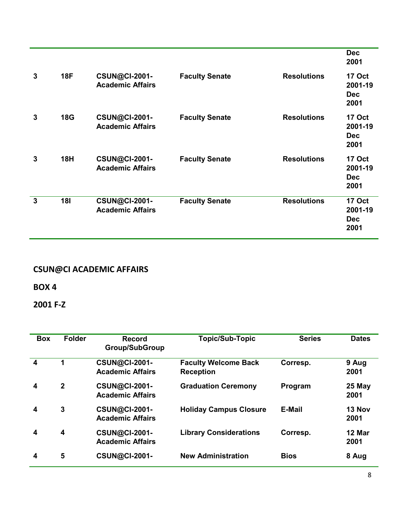|              |            |                                                 |                       |                    | <b>Dec</b><br>2001                             |
|--------------|------------|-------------------------------------------------|-----------------------|--------------------|------------------------------------------------|
| 3            | <b>18F</b> | <b>CSUN@CI-2001-</b><br><b>Academic Affairs</b> | <b>Faculty Senate</b> | <b>Resolutions</b> | <b>17 Oct</b><br>2001-19<br><b>Dec</b><br>2001 |
| 3            | <b>18G</b> | <b>CSUN@CI-2001-</b><br><b>Academic Affairs</b> | <b>Faculty Senate</b> | <b>Resolutions</b> | <b>17 Oct</b><br>2001-19<br><b>Dec</b><br>2001 |
| 3            | <b>18H</b> | <b>CSUN@CI-2001-</b><br><b>Academic Affairs</b> | <b>Faculty Senate</b> | <b>Resolutions</b> | <b>17 Oct</b><br>2001-19<br><b>Dec</b><br>2001 |
| $\mathbf{3}$ | <b>181</b> | <b>CSUN@CI-2001-</b><br><b>Academic Affairs</b> | <b>Faculty Senate</b> | <b>Resolutions</b> | <b>17 Oct</b><br>2001-19<br><b>Dec</b><br>2001 |

**BOX 4**

**2001 F-Z**

| <b>Box</b>       | <b>Folder</b>           | <b>Record</b><br><b>Group/SubGroup</b>          | <b>Topic/Sub-Topic</b>                          | <b>Series</b> | <b>Dates</b>   |
|------------------|-------------------------|-------------------------------------------------|-------------------------------------------------|---------------|----------------|
| $\boldsymbol{4}$ | 1                       | <b>CSUN@CI-2001-</b><br><b>Academic Affairs</b> | <b>Faculty Welcome Back</b><br><b>Reception</b> | Corresp.      | 9 Aug<br>2001  |
| 4                | $\mathbf{2}$            | <b>CSUN@CI-2001-</b><br><b>Academic Affairs</b> | <b>Graduation Ceremony</b>                      | Program       | 25 May<br>2001 |
| 4                | $\mathbf{3}$            | <b>CSUN@CI-2001-</b><br><b>Academic Affairs</b> | <b>Holiday Campus Closure</b>                   | <b>E-Mail</b> | 13 Nov<br>2001 |
| 4                | $\overline{\mathbf{4}}$ | <b>CSUN@CI-2001-</b><br><b>Academic Affairs</b> | <b>Library Considerations</b>                   | Corresp.      | 12 Mar<br>2001 |
| 4                | 5                       | <b>CSUN@CI-2001-</b>                            | <b>New Administration</b>                       | <b>Bios</b>   | 8 Aug          |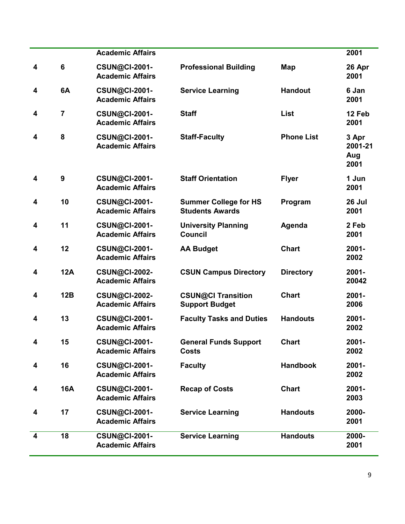|                         |                  | <b>Academic Affairs</b>                         |                                                        |                   | 2001                            |
|-------------------------|------------------|-------------------------------------------------|--------------------------------------------------------|-------------------|---------------------------------|
| 4                       | $6\phantom{1}$   | <b>CSUN@CI-2001-</b><br><b>Academic Affairs</b> | <b>Professional Building</b>                           | Map               | 26 Apr<br>2001                  |
| 4                       | 6A               | <b>CSUN@CI-2001-</b><br><b>Academic Affairs</b> | <b>Service Learning</b>                                | <b>Handout</b>    | 6 Jan<br>2001                   |
| $\overline{\mathbf{4}}$ | $\overline{7}$   | <b>CSUN@CI-2001-</b><br><b>Academic Affairs</b> | <b>Staff</b>                                           | List              | 12 Feb<br>2001                  |
| 4                       | 8                | <b>CSUN@CI-2001-</b><br><b>Academic Affairs</b> | <b>Staff-Faculty</b>                                   | <b>Phone List</b> | 3 Apr<br>2001-21<br>Aug<br>2001 |
| 4                       | $\boldsymbol{9}$ | <b>CSUN@CI-2001-</b><br><b>Academic Affairs</b> | <b>Staff Orientation</b>                               | <b>Flyer</b>      | 1 Jun<br>2001                   |
| 4                       | 10               | <b>CSUN@CI-2001-</b><br><b>Academic Affairs</b> | <b>Summer College for HS</b><br><b>Students Awards</b> | Program           | 26 Jul<br>2001                  |
| 4                       | 11               | <b>CSUN@CI-2001-</b><br><b>Academic Affairs</b> | <b>University Planning</b><br><b>Council</b>           | Agenda            | 2 Feb<br>2001                   |
| 4                       | 12               | <b>CSUN@CI-2001-</b><br><b>Academic Affairs</b> | <b>AA Budget</b>                                       | <b>Chart</b>      | $2001 -$<br>2002                |
| 4                       | <b>12A</b>       | <b>CSUN@CI-2002-</b><br><b>Academic Affairs</b> | <b>CSUN Campus Directory</b>                           | <b>Directory</b>  | $2001 -$<br>20042               |
| 4                       | 12B              | <b>CSUN@CI-2002-</b><br><b>Academic Affairs</b> | <b>CSUN@CI Transition</b><br><b>Support Budget</b>     | <b>Chart</b>      | $2001 -$<br>2006                |
| 4                       | 13               | <b>CSUN@CI-2001-</b><br><b>Academic Affairs</b> | <b>Faculty Tasks and Duties</b>                        | <b>Handouts</b>   | $2001 -$<br>2002                |
| 4                       | 15               | <b>CSUN@CI-2001-</b><br><b>Academic Affairs</b> | <b>General Funds Support</b><br><b>Costs</b>           | <b>Chart</b>      | 2001-<br>2002                   |
| 4                       | 16               | <b>CSUN@CI-2001-</b><br><b>Academic Affairs</b> | <b>Faculty</b>                                         | <b>Handbook</b>   | 2001-<br>2002                   |
| 4                       | <b>16A</b>       | <b>CSUN@CI-2001-</b><br><b>Academic Affairs</b> | <b>Recap of Costs</b>                                  | <b>Chart</b>      | 2001-<br>2003                   |
| 4                       | 17               | <b>CSUN@CI-2001-</b><br><b>Academic Affairs</b> | <b>Service Learning</b>                                | <b>Handouts</b>   | 2000-<br>2001                   |
| $\overline{\mathbf{4}}$ | 18               | <b>CSUN@CI-2001-</b><br><b>Academic Affairs</b> | <b>Service Learning</b>                                | <b>Handouts</b>   | 2000-<br>2001                   |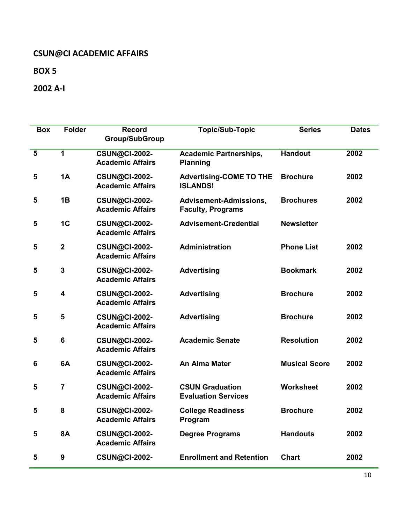**BOX 5**

**2002 A-I**

| <b>Box</b>              | <b>Folder</b>           | <b>Record</b>                                   | <b>Topic/Sub-Topic</b>                               | <b>Series</b>        | <b>Dates</b> |
|-------------------------|-------------------------|-------------------------------------------------|------------------------------------------------------|----------------------|--------------|
|                         |                         | <b>Group/SubGroup</b>                           |                                                      |                      |              |
| $\overline{\mathbf{5}}$ | 1                       | <b>CSUN@CI-2002-</b><br><b>Academic Affairs</b> | <b>Academic Partnerships,</b><br><b>Planning</b>     | <b>Handout</b>       | 2002         |
| 5                       | <b>1A</b>               | <b>CSUN@CI-2002-</b><br><b>Academic Affairs</b> | <b>Advertising-COME TO THE</b><br><b>ISLANDS!</b>    | <b>Brochure</b>      | 2002         |
| 5                       | 1B                      | <b>CSUN@CI-2002-</b><br><b>Academic Affairs</b> | Advisement-Admissions,<br><b>Faculty, Programs</b>   | <b>Brochures</b>     | 2002         |
| 5                       | 1 <sub>C</sub>          | <b>CSUN@CI-2002-</b><br><b>Academic Affairs</b> | <b>Advisement-Credential</b>                         | <b>Newsletter</b>    |              |
| 5                       | $\mathbf{2}$            | <b>CSUN@CI-2002-</b><br><b>Academic Affairs</b> | <b>Administration</b>                                | <b>Phone List</b>    | 2002         |
| 5                       | $\mathbf{3}$            | <b>CSUN@CI-2002-</b><br><b>Academic Affairs</b> | <b>Advertising</b>                                   | <b>Bookmark</b>      | 2002         |
| 5                       | $\overline{\mathbf{4}}$ | <b>CSUN@CI-2002-</b><br><b>Academic Affairs</b> | <b>Advertising</b>                                   | <b>Brochure</b>      | 2002         |
| 5                       | 5                       | <b>CSUN@CI-2002-</b><br><b>Academic Affairs</b> | <b>Advertising</b>                                   | <b>Brochure</b>      | 2002         |
| 5                       | $6\phantom{1}$          | <b>CSUN@CI-2002-</b><br><b>Academic Affairs</b> | <b>Academic Senate</b>                               | <b>Resolution</b>    | 2002         |
| 6                       | 6A                      | <b>CSUN@CI-2002-</b><br><b>Academic Affairs</b> | An Alma Mater                                        | <b>Musical Score</b> | 2002         |
| 5                       | $\overline{7}$          | <b>CSUN@CI-2002-</b><br><b>Academic Affairs</b> | <b>CSUN Graduation</b><br><b>Evaluation Services</b> | <b>Worksheet</b>     | 2002         |
| 5                       | 8                       | <b>CSUN@CI-2002-</b><br><b>Academic Affairs</b> | <b>College Readiness</b><br>Program                  | <b>Brochure</b>      | 2002         |
| 5                       | <b>8A</b>               | <b>CSUN@CI-2002-</b><br><b>Academic Affairs</b> | <b>Degree Programs</b>                               | <b>Handouts</b>      | 2002         |
| 5                       | 9                       | <b>CSUN@CI-2002-</b>                            | <b>Enrollment and Retention</b>                      | <b>Chart</b>         | 2002         |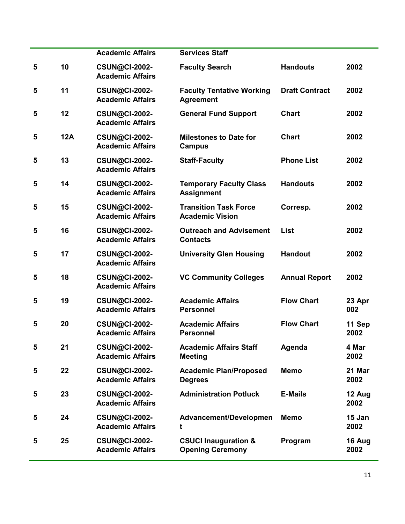|   |            | <b>Academic Affairs</b>                         | <b>Services Staff</b>                                      |                       |                |
|---|------------|-------------------------------------------------|------------------------------------------------------------|-----------------------|----------------|
| 5 | 10         | <b>CSUN@CI-2002-</b><br><b>Academic Affairs</b> | <b>Faculty Search</b>                                      | <b>Handouts</b>       | 2002           |
| 5 | 11         | <b>CSUN@CI-2002-</b><br><b>Academic Affairs</b> | <b>Faculty Tentative Working</b><br><b>Agreement</b>       | <b>Draft Contract</b> | 2002           |
| 5 | 12         | <b>CSUN@CI-2002-</b><br><b>Academic Affairs</b> | <b>General Fund Support</b>                                | <b>Chart</b>          | 2002           |
| 5 | <b>12A</b> | <b>CSUN@CI-2002-</b><br><b>Academic Affairs</b> | <b>Milestones to Date for</b><br><b>Campus</b>             | <b>Chart</b>          | 2002           |
| 5 | 13         | <b>CSUN@CI-2002-</b><br><b>Academic Affairs</b> | <b>Staff-Faculty</b>                                       | <b>Phone List</b>     | 2002           |
| 5 | 14         | <b>CSUN@CI-2002-</b><br><b>Academic Affairs</b> | <b>Temporary Faculty Class</b><br><b>Assignment</b>        | <b>Handouts</b>       | 2002           |
| 5 | 15         | <b>CSUN@CI-2002-</b><br><b>Academic Affairs</b> | <b>Transition Task Force</b><br><b>Academic Vision</b>     | Corresp.              | 2002           |
| 5 | 16         | <b>CSUN@CI-2002-</b><br><b>Academic Affairs</b> | <b>Outreach and Advisement</b><br><b>Contacts</b>          | <b>List</b>           | 2002           |
| 5 | 17         | <b>CSUN@CI-2002-</b><br><b>Academic Affairs</b> | <b>University Glen Housing</b>                             | <b>Handout</b>        | 2002           |
| 5 | 18         | <b>CSUN@CI-2002-</b><br><b>Academic Affairs</b> | <b>VC Community Colleges</b>                               | <b>Annual Report</b>  | 2002           |
| 5 | 19         | <b>CSUN@CI-2002-</b><br><b>Academic Affairs</b> | <b>Academic Affairs</b><br><b>Personnel</b>                | <b>Flow Chart</b>     | 23 Apr<br>002  |
| 5 | 20         | <b>CSUN@CI-2002-</b><br><b>Academic Affairs</b> | <b>Academic Affairs</b><br><b>Personnel</b>                | <b>Flow Chart</b>     | 11 Sep<br>2002 |
| 5 | 21         | <b>CSUN@CI-2002-</b><br><b>Academic Affairs</b> | <b>Academic Affairs Staff</b><br><b>Meeting</b>            | Agenda                | 4 Mar<br>2002  |
| 5 | 22         | <b>CSUN@CI-2002-</b><br><b>Academic Affairs</b> | <b>Academic Plan/Proposed</b><br><b>Degrees</b>            | <b>Memo</b>           | 21 Mar<br>2002 |
| 5 | 23         | <b>CSUN@CI-2002-</b><br><b>Academic Affairs</b> | <b>Administration Potluck</b>                              | <b>E-Mails</b>        | 12 Aug<br>2002 |
| 5 | 24         | <b>CSUN@CI-2002-</b><br><b>Academic Affairs</b> | Advancement/Developmen<br>t                                | <b>Memo</b>           | 15 Jan<br>2002 |
| 5 | 25         | <b>CSUN@CI-2002-</b><br><b>Academic Affairs</b> | <b>CSUCI Inauguration &amp;</b><br><b>Opening Ceremony</b> | Program               | 16 Aug<br>2002 |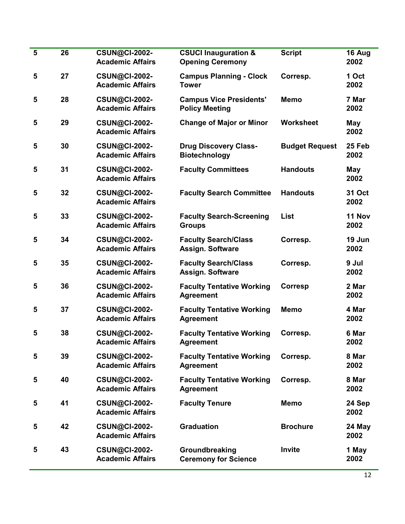| $5\phantom{1}$ | 26 | <b>CSUN@CI-2002-</b><br><b>Academic Affairs</b> | <b>CSUCI Inauguration &amp;</b><br><b>Opening Ceremony</b> | <b>Script</b>         | 16 Aug<br>2002 |
|----------------|----|-------------------------------------------------|------------------------------------------------------------|-----------------------|----------------|
| 5              | 27 | <b>CSUN@CI-2002-</b><br><b>Academic Affairs</b> | <b>Campus Planning - Clock</b><br><b>Tower</b>             | Corresp.              | 1 Oct<br>2002  |
| 5              | 28 | <b>CSUN@CI-2002-</b><br><b>Academic Affairs</b> | <b>Campus Vice Presidents'</b><br><b>Policy Meeting</b>    | <b>Memo</b>           | 7 Mar<br>2002  |
| 5              | 29 | <b>CSUN@CI-2002-</b><br><b>Academic Affairs</b> | <b>Change of Major or Minor</b>                            | Worksheet             | May<br>2002    |
| 5              | 30 | <b>CSUN@CI-2002-</b><br><b>Academic Affairs</b> | <b>Drug Discovery Class-</b><br><b>Biotechnology</b>       | <b>Budget Request</b> | 25 Feb<br>2002 |
| 5              | 31 | <b>CSUN@CI-2002-</b><br><b>Academic Affairs</b> | <b>Faculty Committees</b>                                  | <b>Handouts</b>       | May<br>2002    |
| 5              | 32 | <b>CSUN@CI-2002-</b><br><b>Academic Affairs</b> | <b>Faculty Search Committee</b>                            | <b>Handouts</b>       | 31 Oct<br>2002 |
| 5              | 33 | <b>CSUN@CI-2002-</b><br><b>Academic Affairs</b> | <b>Faculty Search-Screening</b><br><b>Groups</b>           | <b>List</b>           | 11 Nov<br>2002 |
| 5              | 34 | <b>CSUN@CI-2002-</b><br><b>Academic Affairs</b> | <b>Faculty Search/Class</b><br><b>Assign. Software</b>     | Corresp.              | 19 Jun<br>2002 |
| 5              | 35 | <b>CSUN@CI-2002-</b><br><b>Academic Affairs</b> | <b>Faculty Search/Class</b><br><b>Assign. Software</b>     | Corresp.              | 9 Jul<br>2002  |
| 5              | 36 | <b>CSUN@CI-2002-</b><br><b>Academic Affairs</b> | <b>Faculty Tentative Working</b><br><b>Agreement</b>       | Corresp               | 2 Mar<br>2002  |
| 5              | 37 | <b>CSUN@CI-2002-</b><br><b>Academic Affairs</b> | <b>Faculty Tentative Working</b><br><b>Agreement</b>       | <b>Memo</b>           | 4 Mar<br>2002  |
| 5              | 38 | <b>CSUN@CI-2002-</b><br><b>Academic Affairs</b> | <b>Faculty Tentative Working</b><br><b>Agreement</b>       | Corresp.              | 6 Mar<br>2002  |
| 5              | 39 | <b>CSUN@CI-2002-</b><br><b>Academic Affairs</b> | <b>Faculty Tentative Working</b><br><b>Agreement</b>       | Corresp.              | 8 Mar<br>2002  |
| 5              | 40 | <b>CSUN@CI-2002-</b><br><b>Academic Affairs</b> | <b>Faculty Tentative Working</b><br><b>Agreement</b>       | Corresp.              | 8 Mar<br>2002  |
| 5              | 41 | <b>CSUN@CI-2002-</b><br><b>Academic Affairs</b> | <b>Faculty Tenure</b>                                      | <b>Memo</b>           | 24 Sep<br>2002 |
| 5              | 42 | <b>CSUN@CI-2002-</b><br><b>Academic Affairs</b> | <b>Graduation</b>                                          | <b>Brochure</b>       | 24 May<br>2002 |
| 5              | 43 | <b>CSUN@CI-2002-</b><br><b>Academic Affairs</b> | Groundbreaking<br><b>Ceremony for Science</b>              | Invite                | 1 May<br>2002  |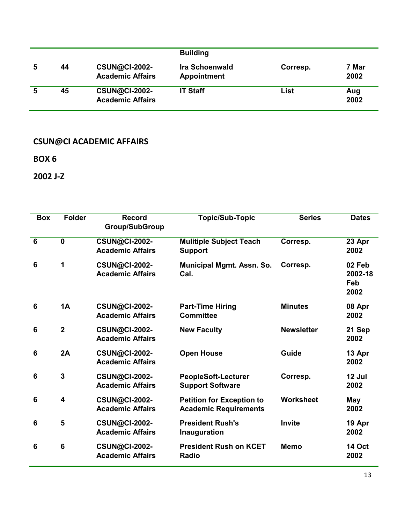|   |    |                                                 | <b>Building</b>                             |          |               |
|---|----|-------------------------------------------------|---------------------------------------------|----------|---------------|
| 5 | 44 | <b>CSUN@CI-2002-</b><br><b>Academic Affairs</b> | <b>Ira Schoenwald</b><br><b>Appointment</b> | Corresp. | 7 Mar<br>2002 |
|   | 45 | <b>CSUN@CI-2002-</b><br><b>Academic Affairs</b> | <b>IT Staff</b>                             | List     | Aug<br>2002   |

**BOX 6**

**2002 J-Z**

| <b>Box</b>      | <b>Folder</b>  | <b>Record</b><br><b>Group/SubGroup</b>          | <b>Topic/Sub-Topic</b>                                           | <b>Series</b>     | <b>Dates</b>                     |
|-----------------|----------------|-------------------------------------------------|------------------------------------------------------------------|-------------------|----------------------------------|
| $6\phantom{1}$  | $\mathbf 0$    | <b>CSUN@CI-2002-</b><br><b>Academic Affairs</b> | <b>Mulitiple Subject Teach</b><br><b>Support</b>                 | Corresp.          | 23 Apr<br>2002                   |
| 6               | 1              | <b>CSUN@CI-2002-</b><br><b>Academic Affairs</b> | <b>Municipal Mgmt. Assn. So.</b><br>Cal.                         | Corresp.          | 02 Feb<br>2002-18<br>Feb<br>2002 |
| $6\phantom{1}6$ | 1A             | <b>CSUN@CI-2002-</b><br><b>Academic Affairs</b> | <b>Part-Time Hiring</b><br><b>Committee</b>                      | <b>Minutes</b>    | 08 Apr<br>2002                   |
| $6\phantom{1}$  | $\overline{2}$ | <b>CSUN@CI-2002-</b><br><b>Academic Affairs</b> | <b>New Faculty</b>                                               | <b>Newsletter</b> | 21 Sep<br>2002                   |
| 6               | 2A             | <b>CSUN@CI-2002-</b><br><b>Academic Affairs</b> | <b>Open House</b>                                                | Guide             | 13 Apr<br>2002                   |
| 6               | 3              | <b>CSUN@CI-2002-</b><br><b>Academic Affairs</b> | <b>PeopleSoft-Lecturer</b><br><b>Support Software</b>            | Corresp.          | 12 Jul<br>2002                   |
| 6               | 4              | <b>CSUN@CI-2002-</b><br><b>Academic Affairs</b> | <b>Petition for Exception to</b><br><b>Academic Requirements</b> | <b>Worksheet</b>  | May<br>2002                      |
| $6\phantom{1}$  | 5              | <b>CSUN@CI-2002-</b><br><b>Academic Affairs</b> | <b>President Rush's</b><br>Inauguration                          | <b>Invite</b>     | 19 Apr<br>2002                   |
| $6\phantom{1}6$ | $6\phantom{1}$ | <b>CSUN@CI-2002-</b><br><b>Academic Affairs</b> | <b>President Rush on KCET</b><br><b>Radio</b>                    | <b>Memo</b>       | <b>14 Oct</b><br>2002            |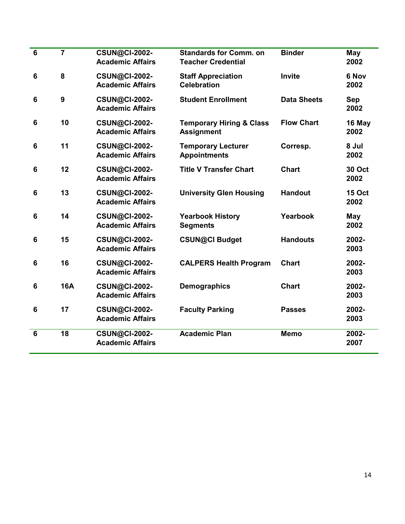| $6\phantom{1}6$ | $\overline{7}$ | <b>CSUN@CI-2002-</b><br><b>Academic Affairs</b> | <b>Standards for Comm. on</b><br><b>Teacher Credential</b> | <b>Binder</b>      | May<br>2002           |
|-----------------|----------------|-------------------------------------------------|------------------------------------------------------------|--------------------|-----------------------|
| $6\phantom{1}6$ | 8              | <b>CSUN@CI-2002-</b><br><b>Academic Affairs</b> | <b>Staff Appreciation</b><br><b>Celebration</b>            | Invite             | 6 Nov<br>2002         |
| 6               | 9              | <b>CSUN@CI-2002-</b><br><b>Academic Affairs</b> | <b>Student Enrollment</b>                                  | <b>Data Sheets</b> | Sep<br>2002           |
| $6\phantom{1}6$ | 10             | <b>CSUN@CI-2002-</b><br><b>Academic Affairs</b> | <b>Temporary Hiring &amp; Class</b><br><b>Assignment</b>   | <b>Flow Chart</b>  | 16 May<br>2002        |
| 6               | 11             | <b>CSUN@CI-2002-</b><br><b>Academic Affairs</b> | <b>Temporary Lecturer</b><br><b>Appointments</b>           | Corresp.           | 8 Jul<br>2002         |
| $6\phantom{1}6$ | 12             | <b>CSUN@CI-2002-</b><br><b>Academic Affairs</b> | <b>Title V Transfer Chart</b>                              | <b>Chart</b>       | 30 Oct<br>2002        |
| $6\phantom{1}6$ | 13             | <b>CSUN@CI-2002-</b><br><b>Academic Affairs</b> | <b>University Glen Housing</b>                             | <b>Handout</b>     | <b>15 Oct</b><br>2002 |
| $6\phantom{1}6$ | 14             | <b>CSUN@CI-2002-</b><br><b>Academic Affairs</b> | <b>Yearbook History</b><br><b>Segments</b>                 | Yearbook           | May<br>2002           |
| $6\phantom{1}6$ | 15             | <b>CSUN@CI-2002-</b><br><b>Academic Affairs</b> | <b>CSUN@CI Budget</b>                                      | <b>Handouts</b>    | 2002-<br>2003         |
| $6\phantom{1}6$ | 16             | <b>CSUN@CI-2002-</b><br><b>Academic Affairs</b> | <b>CALPERS Health Program</b>                              | <b>Chart</b>       | 2002-<br>2003         |
| $6\phantom{1}6$ | <b>16A</b>     | <b>CSUN@CI-2002-</b><br><b>Academic Affairs</b> | <b>Demographics</b>                                        | <b>Chart</b>       | 2002-<br>2003         |
| $6\phantom{1}6$ | 17             | <b>CSUN@CI-2002-</b><br><b>Academic Affairs</b> | <b>Faculty Parking</b>                                     | <b>Passes</b>      | 2002-<br>2003         |
| $6\phantom{1}6$ | 18             | <b>CSUN@CI-2002-</b><br><b>Academic Affairs</b> | <b>Academic Plan</b>                                       | <b>Memo</b>        | 2002-<br>2007         |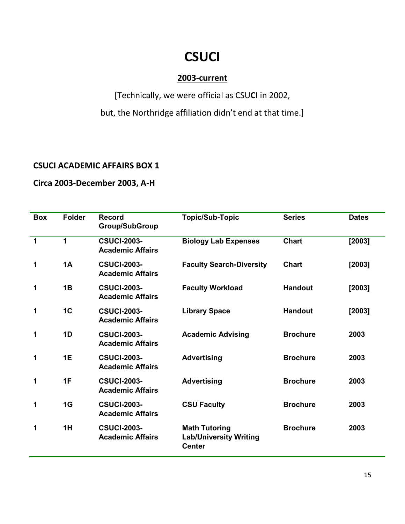# **CSUCI**

## **2003-current**

[Technically, we were official as CSU**CI** in 2002,

but, the Northridge affiliation didn't end at that time.]

#### **CSUCI ACADEMIC AFFAIRS BOX 1**

## **Circa 2003-December 2003, A-H**

| <b>Box</b> | <b>Folder</b>  | <b>Record</b><br><b>Group/SubGroup</b>        | <b>Topic/Sub-Topic</b>                                                 | <b>Series</b>   | <b>Dates</b> |
|------------|----------------|-----------------------------------------------|------------------------------------------------------------------------|-----------------|--------------|
| 1          | 1              | <b>CSUCI-2003-</b><br><b>Academic Affairs</b> | <b>Biology Lab Expenses</b>                                            | <b>Chart</b>    | [2003]       |
| 1          | 1A             | <b>CSUCI-2003-</b><br><b>Academic Affairs</b> | <b>Faculty Search-Diversity</b>                                        | <b>Chart</b>    | [2003]       |
| 1          | 1B             | <b>CSUCI-2003-</b><br><b>Academic Affairs</b> | <b>Faculty Workload</b>                                                | <b>Handout</b>  | [2003]       |
| 1          | 1 <sub>C</sub> | <b>CSUCI-2003-</b><br><b>Academic Affairs</b> | <b>Library Space</b>                                                   | <b>Handout</b>  | [2003]       |
| 1          | 1D             | <b>CSUCI-2003-</b><br><b>Academic Affairs</b> | <b>Academic Advising</b>                                               | <b>Brochure</b> | 2003         |
| 1          | 1E             | <b>CSUCI-2003-</b><br><b>Academic Affairs</b> | <b>Advertising</b>                                                     | <b>Brochure</b> | 2003         |
| 1          | 1F             | <b>CSUCI-2003-</b><br><b>Academic Affairs</b> | <b>Advertising</b>                                                     | <b>Brochure</b> | 2003         |
| 1          | 1G             | <b>CSUCI-2003-</b><br><b>Academic Affairs</b> | <b>CSU Faculty</b>                                                     | <b>Brochure</b> | 2003         |
| 1          | 1H             | <b>CSUCI-2003-</b><br><b>Academic Affairs</b> | <b>Math Tutoring</b><br><b>Lab/University Writing</b><br><b>Center</b> | <b>Brochure</b> | 2003         |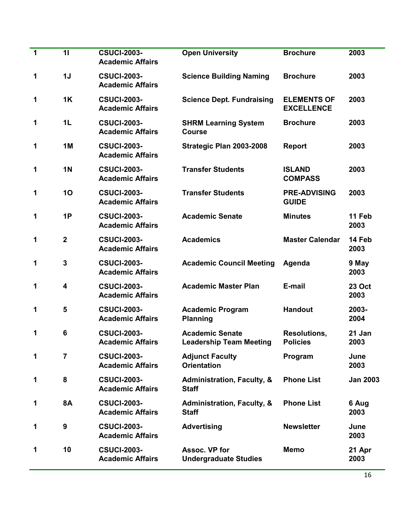| 1 | 11                      | <b>CSUCI-2003-</b>                            |                                                          |                                         |                 |
|---|-------------------------|-----------------------------------------------|----------------------------------------------------------|-----------------------------------------|-----------------|
|   |                         | <b>Academic Affairs</b>                       | <b>Open University</b>                                   | <b>Brochure</b>                         | 2003            |
| 1 | 1J                      | <b>CSUCI-2003-</b><br><b>Academic Affairs</b> | <b>Science Building Naming</b>                           | <b>Brochure</b>                         | 2003            |
| 1 | 1K                      | <b>CSUCI-2003-</b><br><b>Academic Affairs</b> | <b>Science Dept. Fundraising</b>                         | <b>ELEMENTS OF</b><br><b>EXCELLENCE</b> | 2003            |
| 1 | 1 <sub>L</sub>          | <b>CSUCI-2003-</b><br><b>Academic Affairs</b> | <b>SHRM Learning System</b><br><b>Course</b>             | <b>Brochure</b>                         | 2003            |
| 1 | 1M                      | <b>CSUCI-2003-</b><br><b>Academic Affairs</b> | Strategic Plan 2003-2008                                 | <b>Report</b>                           | 2003            |
| 1 | <b>1N</b>               | <b>CSUCI-2003-</b><br><b>Academic Affairs</b> | <b>Transfer Students</b>                                 | <b>ISLAND</b><br><b>COMPASS</b>         | 2003            |
| 1 | 10                      | <b>CSUCI-2003-</b><br><b>Academic Affairs</b> | <b>Transfer Students</b>                                 | <b>PRE-ADVISING</b><br><b>GUIDE</b>     | 2003            |
| 1 | 1P                      | <b>CSUCI-2003-</b><br><b>Academic Affairs</b> | <b>Academic Senate</b>                                   | <b>Minutes</b>                          | 11 Feb<br>2003  |
| 1 | $\overline{2}$          | <b>CSUCI-2003-</b><br><b>Academic Affairs</b> | <b>Academics</b>                                         | <b>Master Calendar</b>                  | 14 Feb<br>2003  |
| 1 | $\overline{3}$          | <b>CSUCI-2003-</b><br><b>Academic Affairs</b> | <b>Academic Council Meeting</b>                          | Agenda                                  | 9 May<br>2003   |
| 1 | $\overline{\mathbf{4}}$ | <b>CSUCI-2003-</b><br><b>Academic Affairs</b> | <b>Academic Master Plan</b>                              | E-mail                                  | 23 Oct<br>2003  |
| 1 | 5                       | <b>CSUCI-2003-</b><br><b>Academic Affairs</b> | <b>Academic Program</b><br><b>Planning</b>               | <b>Handout</b>                          | 2003-<br>2004   |
| 1 | $6\phantom{1}6$         | <b>CSUCI-2003-</b><br><b>Academic Affairs</b> | <b>Academic Senate</b><br><b>Leadership Team Meeting</b> | <b>Resolutions,</b><br><b>Policies</b>  | 21 Jan<br>2003  |
| 1 | 7                       | <b>CSUCI-2003-</b><br><b>Academic Affairs</b> | <b>Adjunct Faculty</b><br><b>Orientation</b>             | Program                                 | June<br>2003    |
| 1 | 8                       | <b>CSUCI-2003-</b><br><b>Academic Affairs</b> | <b>Administration, Faculty, &amp;</b><br><b>Staff</b>    | <b>Phone List</b>                       | <b>Jan 2003</b> |
| 1 | <b>8A</b>               | <b>CSUCI-2003-</b><br><b>Academic Affairs</b> | <b>Administration, Faculty, &amp;</b><br><b>Staff</b>    | <b>Phone List</b>                       | 6 Aug<br>2003   |
| 1 | $\boldsymbol{9}$        | <b>CSUCI-2003-</b><br><b>Academic Affairs</b> | <b>Advertising</b>                                       | <b>Newsletter</b>                       | June<br>2003    |
| 1 | 10                      | <b>CSUCI-2003-</b><br><b>Academic Affairs</b> | Assoc. VP for<br><b>Undergraduate Studies</b>            | <b>Memo</b>                             | 21 Apr<br>2003  |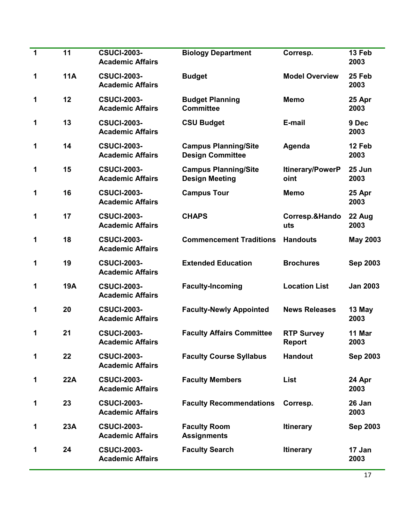| 1 | 11         | <b>CSUCI-2003-</b><br><b>Academic Affairs</b> | <b>Biology Department</b>                              | Corresp.                        | 13 Feb<br>2003  |
|---|------------|-----------------------------------------------|--------------------------------------------------------|---------------------------------|-----------------|
| 1 | <b>11A</b> | <b>CSUCI-2003-</b><br><b>Academic Affairs</b> | <b>Budget</b>                                          | <b>Model Overview</b>           | 25 Feb<br>2003  |
| 1 | 12         | <b>CSUCI-2003-</b><br><b>Academic Affairs</b> | <b>Budget Planning</b><br><b>Committee</b>             | <b>Memo</b>                     | 25 Apr<br>2003  |
| 1 | 13         | <b>CSUCI-2003-</b><br><b>Academic Affairs</b> | <b>CSU Budget</b>                                      | E-mail                          | 9 Dec<br>2003   |
| 1 | 14         | <b>CSUCI-2003-</b><br><b>Academic Affairs</b> | <b>Campus Planning/Site</b><br><b>Design Committee</b> | Agenda                          | 12 Feb<br>2003  |
| 1 | 15         | <b>CSUCI-2003-</b><br><b>Academic Affairs</b> | <b>Campus Planning/Site</b><br><b>Design Meeting</b>   | <b>Itinerary/PowerP</b><br>oint | 25 Jun<br>2003  |
| 1 | 16         | <b>CSUCI-2003-</b><br><b>Academic Affairs</b> | <b>Campus Tour</b>                                     | <b>Memo</b>                     | 25 Apr<br>2003  |
| 1 | 17         | <b>CSUCI-2003-</b><br><b>Academic Affairs</b> | <b>CHAPS</b>                                           | Corresp.&Hando<br>uts           | 22 Aug<br>2003  |
| 1 | 18         | <b>CSUCI-2003-</b><br><b>Academic Affairs</b> | <b>Commencement Traditions</b>                         | <b>Handouts</b>                 | <b>May 2003</b> |
| 1 | 19         | <b>CSUCI-2003-</b><br><b>Academic Affairs</b> | <b>Extended Education</b>                              | <b>Brochures</b>                | <b>Sep 2003</b> |
| 1 | <b>19A</b> | <b>CSUCI-2003-</b><br><b>Academic Affairs</b> | <b>Faculty-Incoming</b>                                | <b>Location List</b>            | <b>Jan 2003</b> |
| 1 | 20         | <b>CSUCI-2003-</b><br><b>Academic Affairs</b> | <b>Faculty-Newly Appointed</b>                         | <b>News Releases</b>            | 13 May<br>2003  |
| 1 | 21         | <b>CSUCI-2003-</b><br><b>Academic Affairs</b> | <b>Faculty Affairs Committee</b>                       | <b>RTP Survey</b><br>Report     | 11 Mar<br>2003  |
| 1 | 22         | <b>CSUCI-2003-</b><br><b>Academic Affairs</b> | <b>Faculty Course Syllabus</b>                         | <b>Handout</b>                  | <b>Sep 2003</b> |
| 1 | <b>22A</b> | <b>CSUCI-2003-</b><br><b>Academic Affairs</b> | <b>Faculty Members</b>                                 | List                            | 24 Apr<br>2003  |
| 1 | 23         | <b>CSUCI-2003-</b><br><b>Academic Affairs</b> | <b>Faculty Recommendations</b>                         | Corresp.                        | 26 Jan<br>2003  |
| 1 | 23A        | <b>CSUCI-2003-</b><br><b>Academic Affairs</b> | <b>Faculty Room</b><br><b>Assignments</b>              | <b>Itinerary</b>                | <b>Sep 2003</b> |
| 1 | 24         | <b>CSUCI-2003-</b><br><b>Academic Affairs</b> | <b>Faculty Search</b>                                  | <b>Itinerary</b>                | 17 Jan<br>2003  |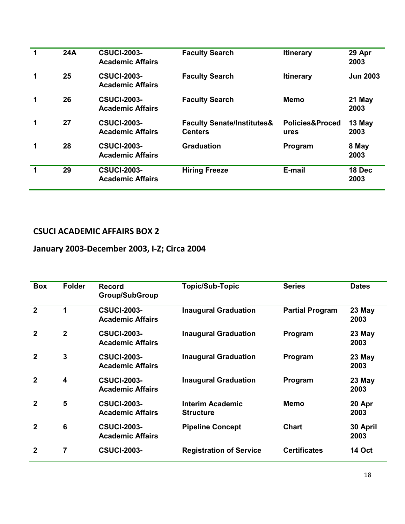|   | 24A | <b>CSUCI-2003-</b><br><b>Academic Affairs</b> | <b>Faculty Search</b>                                   | <b>Itinerary</b>                   | 29 Apr<br>2003  |
|---|-----|-----------------------------------------------|---------------------------------------------------------|------------------------------------|-----------------|
| 1 | 25  | <b>CSUCI-2003-</b><br><b>Academic Affairs</b> | <b>Faculty Search</b>                                   | <b>Itinerary</b>                   | <b>Jun 2003</b> |
| 1 | 26  | <b>CSUCI-2003-</b><br><b>Academic Affairs</b> | <b>Faculty Search</b>                                   | Memo                               | 21 May<br>2003  |
| 1 | 27  | <b>CSUCI-2003-</b><br><b>Academic Affairs</b> | <b>Faculty Senate/Institutes&amp;</b><br><b>Centers</b> | <b>Policies&amp;Proced</b><br>ures | 13 May<br>2003  |
|   | 28  | <b>CSUCI-2003-</b><br><b>Academic Affairs</b> | <b>Graduation</b>                                       | Program                            | 8 May<br>2003   |
|   | 29  | <b>CSUCI-2003-</b><br><b>Academic Affairs</b> | <b>Hiring Freeze</b>                                    | E-mail                             | 18 Dec<br>2003  |

## **January 2003-December 2003, I-Z; Circa 2004**

| <b>Box</b>     | <b>Folder</b>           | <b>Record</b><br><b>Group/SubGroup</b>        | <b>Topic/Sub-Topic</b>                      | <b>Series</b>          | <b>Dates</b>     |
|----------------|-------------------------|-----------------------------------------------|---------------------------------------------|------------------------|------------------|
| $\overline{2}$ | 1                       | <b>CSUCI-2003-</b><br><b>Academic Affairs</b> | <b>Inaugural Graduation</b>                 | <b>Partial Program</b> | 23 May<br>2003   |
| $\mathbf{2}$   | $\overline{2}$          | <b>CSUCI-2003-</b><br><b>Academic Affairs</b> | <b>Inaugural Graduation</b>                 | Program                | $23$ May<br>2003 |
| 2              | $\mathbf{3}$            | <b>CSUCI-2003-</b><br><b>Academic Affairs</b> | <b>Inaugural Graduation</b>                 | Program                | $23$ May<br>2003 |
| $\mathbf{2}$   | $\overline{\mathbf{4}}$ | <b>CSUCI-2003-</b><br><b>Academic Affairs</b> | <b>Inaugural Graduation</b>                 | Program                | $23$ May<br>2003 |
| 2              | 5                       | <b>CSUCI-2003-</b><br><b>Academic Affairs</b> | <b>Interim Academic</b><br><b>Structure</b> | Memo                   | 20 Apr<br>2003   |
| 2              | $6\phantom{1}6$         | <b>CSUCI-2003-</b><br><b>Academic Affairs</b> | <b>Pipeline Concept</b>                     | <b>Chart</b>           | 30 April<br>2003 |
| 2              | 7                       | <b>CSUCI-2003-</b>                            | <b>Registration of Service</b>              | <b>Certificates</b>    | <b>14 Oct</b>    |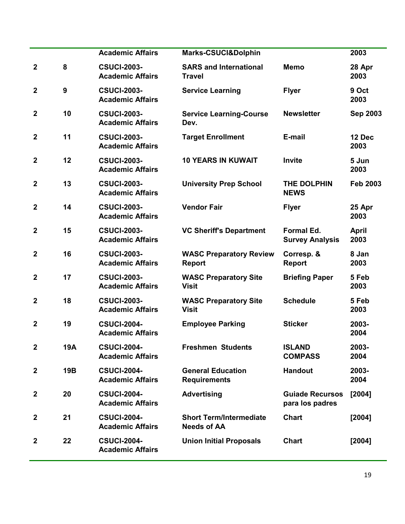|                  |                  | <b>Academic Affairs</b>                       | <b>Marks-CSUCI&amp;Dolphin</b>                       |                                             | 2003                 |
|------------------|------------------|-----------------------------------------------|------------------------------------------------------|---------------------------------------------|----------------------|
| $\boldsymbol{2}$ | 8                | <b>CSUCI-2003-</b><br><b>Academic Affairs</b> | <b>SARS and International</b><br><b>Travel</b>       | <b>Memo</b>                                 | 28 Apr<br>2003       |
| $\boldsymbol{2}$ | $\boldsymbol{9}$ | <b>CSUCI-2003-</b><br><b>Academic Affairs</b> | <b>Service Learning</b>                              | <b>Flyer</b>                                | 9 Oct<br>2003        |
| $\overline{2}$   | 10               | <b>CSUCI-2003-</b><br><b>Academic Affairs</b> | <b>Service Learning-Course</b><br>Dev.               | <b>Newsletter</b>                           | <b>Sep 2003</b>      |
| $\mathbf{2}$     | 11               | <b>CSUCI-2003-</b><br><b>Academic Affairs</b> | <b>Target Enrollment</b>                             | E-mail                                      | 12 Dec<br>2003       |
| $\boldsymbol{2}$ | 12               | <b>CSUCI-2003-</b><br><b>Academic Affairs</b> | <b>10 YEARS IN KUWAIT</b>                            | Invite                                      | 5 Jun<br>2003        |
| $\boldsymbol{2}$ | 13               | <b>CSUCI-2003-</b><br><b>Academic Affairs</b> | <b>University Prep School</b>                        | THE DOLPHIN<br><b>NEWS</b>                  | <b>Feb 2003</b>      |
| $\mathbf{2}$     | 14               | <b>CSUCI-2003-</b><br><b>Academic Affairs</b> | <b>Vendor Fair</b>                                   | <b>Flyer</b>                                | 25 Apr<br>2003       |
| $\overline{2}$   | 15               | <b>CSUCI-2003-</b><br><b>Academic Affairs</b> | <b>VC Sheriff's Department</b>                       | <b>Formal Ed.</b><br><b>Survey Analysis</b> | <b>April</b><br>2003 |
| $\boldsymbol{2}$ | 16               | <b>CSUCI-2003-</b><br><b>Academic Affairs</b> | <b>WASC Preparatory Review</b><br><b>Report</b>      | Corresp. &<br>Report                        | 8 Jan<br>2003        |
| $\boldsymbol{2}$ | 17               | <b>CSUCI-2003-</b><br><b>Academic Affairs</b> | <b>WASC Preparatory Site</b><br><b>Visit</b>         | <b>Briefing Paper</b>                       | 5 Feb<br>2003        |
| $\boldsymbol{2}$ | 18               | <b>CSUCI-2003-</b><br><b>Academic Affairs</b> | <b>WASC Preparatory Site</b><br><b>Visit</b>         | <b>Schedule</b>                             | 5 Feb<br>2003        |
| $\mathbf{2}$     | 19               | <b>CSUCI-2004-</b><br><b>Academic Affairs</b> | <b>Employee Parking</b>                              | <b>Sticker</b>                              | 2003-<br>2004        |
| $\mathbf{2}$     | 19A              | <b>CSUCI-2004-</b><br><b>Academic Affairs</b> | <b>Freshmen Students</b>                             | <b>ISLAND</b><br><b>COMPASS</b>             | 2003-<br>2004        |
| $\mathbf{2}$     | <b>19B</b>       | <b>CSUCI-2004-</b><br><b>Academic Affairs</b> | <b>General Education</b><br><b>Requirements</b>      | <b>Handout</b>                              | 2003-<br>2004        |
| $\mathbf{2}$     | 20               | <b>CSUCI-2004-</b><br><b>Academic Affairs</b> | <b>Advertising</b>                                   | <b>Guiade Recursos</b><br>para los padres   | [2004]               |
| $\mathbf{2}$     | 21               | <b>CSUCI-2004-</b><br><b>Academic Affairs</b> | <b>Short Term/Intermediate</b><br><b>Needs of AA</b> | <b>Chart</b>                                | [2004]               |
| $\overline{2}$   | 22               | <b>CSUCI-2004-</b><br><b>Academic Affairs</b> | <b>Union Initial Proposals</b>                       | <b>Chart</b>                                | [2004]               |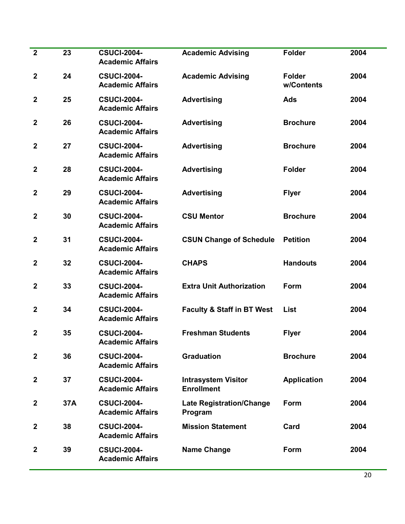| $\overline{2}$   | 23  | <b>CSUCI-2004-</b><br><b>Academic Affairs</b> | <b>Academic Advising</b>                        | <b>Folder</b>               | 2004 |
|------------------|-----|-----------------------------------------------|-------------------------------------------------|-----------------------------|------|
| $\boldsymbol{2}$ | 24  | <b>CSUCI-2004-</b><br><b>Academic Affairs</b> | <b>Academic Advising</b>                        | <b>Folder</b><br>w/Contents | 2004 |
| $\boldsymbol{2}$ | 25  | <b>CSUCI-2004-</b><br><b>Academic Affairs</b> | <b>Advertising</b>                              | Ads                         | 2004 |
| $\mathbf{2}$     | 26  | <b>CSUCI-2004-</b><br><b>Academic Affairs</b> | <b>Advertising</b>                              | <b>Brochure</b>             | 2004 |
| $\mathbf 2$      | 27  | <b>CSUCI-2004-</b><br><b>Academic Affairs</b> | <b>Advertising</b>                              | <b>Brochure</b>             | 2004 |
| $\mathbf{2}$     | 28  | <b>CSUCI-2004-</b><br><b>Academic Affairs</b> | <b>Advertising</b>                              | <b>Folder</b>               | 2004 |
| $\mathbf{2}$     | 29  | <b>CSUCI-2004-</b><br><b>Academic Affairs</b> | <b>Advertising</b>                              | <b>Flyer</b>                | 2004 |
| $\boldsymbol{2}$ | 30  | <b>CSUCI-2004-</b><br><b>Academic Affairs</b> | <b>CSU Mentor</b>                               | <b>Brochure</b>             | 2004 |
| $\overline{2}$   | 31  | <b>CSUCI-2004-</b><br><b>Academic Affairs</b> | <b>CSUN Change of Schedule</b>                  | <b>Petition</b>             | 2004 |
| $\mathbf 2$      | 32  | <b>CSUCI-2004-</b><br><b>Academic Affairs</b> | <b>CHAPS</b>                                    | <b>Handouts</b>             | 2004 |
| $\mathbf 2$      | 33  | <b>CSUCI-2004-</b><br><b>Academic Affairs</b> | <b>Extra Unit Authorization</b>                 | Form                        | 2004 |
| $\boldsymbol{2}$ | 34  | <b>CSUCI-2004-</b><br><b>Academic Affairs</b> | <b>Faculty &amp; Staff in BT West</b>           | <b>List</b>                 | 2004 |
| $\mathbf{2}$     | 35  | <b>CSUCI-2004-</b><br><b>Academic Affairs</b> | <b>Freshman Students</b>                        | <b>Flyer</b>                | 2004 |
| $\mathbf{2}$     | 36  | <b>CSUCI-2004-</b><br><b>Academic Affairs</b> | <b>Graduation</b>                               | <b>Brochure</b>             | 2004 |
| $\mathbf 2$      | 37  | <b>CSUCI-2004-</b><br><b>Academic Affairs</b> | <b>Intrasystem Visitor</b><br><b>Enrollment</b> | <b>Application</b>          | 2004 |
| $\mathbf 2$      | 37A | <b>CSUCI-2004-</b><br><b>Academic Affairs</b> | <b>Late Registration/Change</b><br>Program      | Form                        | 2004 |
| $\mathbf 2$      | 38  | <b>CSUCI-2004-</b><br><b>Academic Affairs</b> | <b>Mission Statement</b>                        | Card                        | 2004 |
| $\mathbf{2}$     | 39  | <b>CSUCI-2004-</b><br><b>Academic Affairs</b> | <b>Name Change</b>                              | Form                        | 2004 |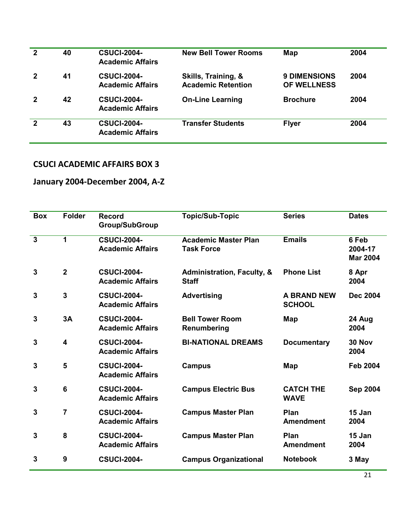| $\mathbf{2}$ | 40 | <b>CSUCI-2004-</b><br><b>Academic Affairs</b> | <b>New Bell Tower Rooms</b>                      | Map                                | 2004 |
|--------------|----|-----------------------------------------------|--------------------------------------------------|------------------------------------|------|
| $\mathbf 2$  | 41 | <b>CSUCI-2004-</b><br><b>Academic Affairs</b> | Skills, Training, &<br><b>Academic Retention</b> | <b>9 DIMENSIONS</b><br>OF WELLNESS | 2004 |
| $\mathbf 2$  | 42 | <b>CSUCI-2004-</b><br><b>Academic Affairs</b> | <b>On-Line Learning</b>                          | <b>Brochure</b>                    | 2004 |
| $\mathbf 2$  | 43 | <b>CSUCI-2004-</b><br><b>Academic Affairs</b> | <b>Transfer Students</b>                         | <b>Flyer</b>                       | 2004 |

## **January 2004-December 2004, A-Z**

| <b>Box</b>              | <b>Folder</b>           | <b>Record</b><br><b>Group/SubGroup</b>        | <b>Topic/Sub-Topic</b>                                | <b>Series</b>                       | <b>Dates</b>                        |
|-------------------------|-------------------------|-----------------------------------------------|-------------------------------------------------------|-------------------------------------|-------------------------------------|
| $\overline{\mathbf{3}}$ | 1                       | <b>CSUCI-2004-</b><br><b>Academic Affairs</b> | <b>Academic Master Plan</b><br><b>Task Force</b>      | <b>Emails</b>                       | 6 Feb<br>2004-17<br><b>Mar 2004</b> |
| $\overline{3}$          | $\overline{2}$          | <b>CSUCI-2004-</b><br><b>Academic Affairs</b> | <b>Administration, Faculty, &amp;</b><br><b>Staff</b> | <b>Phone List</b>                   | 8 Apr<br>2004                       |
| 3                       | $\overline{3}$          | <b>CSUCI-2004-</b><br><b>Academic Affairs</b> | <b>Advertising</b>                                    | <b>A BRAND NEW</b><br><b>SCHOOL</b> | <b>Dec 2004</b>                     |
| 3                       | 3A                      | <b>CSUCI-2004-</b><br><b>Academic Affairs</b> | <b>Bell Tower Room</b><br>Renumbering                 | <b>Map</b>                          | 24 Aug<br>2004                      |
| 3                       | $\overline{\mathbf{4}}$ | <b>CSUCI-2004-</b><br><b>Academic Affairs</b> | <b>BI-NATIONAL DREAMS</b>                             | <b>Documentary</b>                  | <b>30 Nov</b><br>2004               |
| 3                       | 5                       | <b>CSUCI-2004-</b><br><b>Academic Affairs</b> | <b>Campus</b>                                         | Map                                 | <b>Feb 2004</b>                     |
| 3                       | $6\phantom{1}6$         | <b>CSUCI-2004-</b><br><b>Academic Affairs</b> | <b>Campus Electric Bus</b>                            | <b>CATCH THE</b><br><b>WAVE</b>     | <b>Sep 2004</b>                     |
| 3                       | $\overline{7}$          | <b>CSUCI-2004-</b><br><b>Academic Affairs</b> | <b>Campus Master Plan</b>                             | Plan<br><b>Amendment</b>            | 15 Jan<br>2004                      |
| 3                       | 8                       | <b>CSUCI-2004-</b><br><b>Academic Affairs</b> | <b>Campus Master Plan</b>                             | Plan<br><b>Amendment</b>            | 15 Jan<br>2004                      |
| 3                       | 9                       | <b>CSUCI-2004-</b>                            | <b>Campus Organizational</b>                          | <b>Notebook</b>                     | 3 May                               |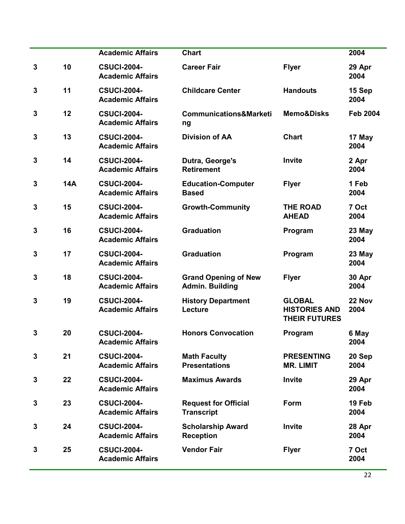|              |            | <b>Academic Affairs</b>                       | <b>Chart</b>                                          |                                                               | 2004            |
|--------------|------------|-----------------------------------------------|-------------------------------------------------------|---------------------------------------------------------------|-----------------|
| 3            | 10         | <b>CSUCI-2004-</b><br><b>Academic Affairs</b> | <b>Career Fair</b>                                    | <b>Flyer</b>                                                  | 29 Apr<br>2004  |
| 3            | 11         | <b>CSUCI-2004-</b><br><b>Academic Affairs</b> | <b>Childcare Center</b>                               | <b>Handouts</b>                                               | 15 Sep<br>2004  |
| 3            | 12         | <b>CSUCI-2004-</b><br><b>Academic Affairs</b> | <b>Communications&amp;Marketi</b><br>ng               | <b>Memo&amp;Disks</b>                                         | <b>Feb 2004</b> |
| 3            | 13         | <b>CSUCI-2004-</b><br><b>Academic Affairs</b> | <b>Division of AA</b>                                 | <b>Chart</b>                                                  | 17 May<br>2004  |
| 3            | 14         | <b>CSUCI-2004-</b><br><b>Academic Affairs</b> | Dutra, George's<br><b>Retirement</b>                  | Invite                                                        | 2 Apr<br>2004   |
| 3            | <b>14A</b> | <b>CSUCI-2004-</b><br><b>Academic Affairs</b> | <b>Education-Computer</b><br><b>Based</b>             | <b>Flyer</b>                                                  | 1 Feb<br>2004   |
| 3            | 15         | <b>CSUCI-2004-</b><br><b>Academic Affairs</b> | <b>Growth-Community</b>                               | <b>THE ROAD</b><br><b>AHEAD</b>                               | 7 Oct<br>2004   |
| 3            | 16         | <b>CSUCI-2004-</b><br><b>Academic Affairs</b> | <b>Graduation</b>                                     | Program                                                       | 23 May<br>2004  |
| 3            | 17         | <b>CSUCI-2004-</b><br><b>Academic Affairs</b> | <b>Graduation</b>                                     | Program                                                       | 23 May<br>2004  |
| 3            | 18         | <b>CSUCI-2004-</b><br><b>Academic Affairs</b> | <b>Grand Opening of New</b><br><b>Admin. Building</b> | <b>Flyer</b>                                                  | 30 Apr<br>2004  |
| 3            | 19         | <b>CSUCI-2004-</b><br><b>Academic Affairs</b> | <b>History Department</b><br>Lecture                  | <b>GLOBAL</b><br><b>HISTORIES AND</b><br><b>THEIR FUTURES</b> | 22 Nov<br>2004  |
| 3            | 20         | <b>CSUCI-2004-</b><br><b>Academic Affairs</b> | <b>Honors Convocation</b>                             | Program                                                       | 6 May<br>2004   |
| 3            | 21         | <b>CSUCI-2004-</b><br><b>Academic Affairs</b> | <b>Math Faculty</b><br><b>Presentations</b>           | <b>PRESENTING</b><br><b>MR. LIMIT</b>                         | 20 Sep<br>2004  |
| 3            | 22         | <b>CSUCI-2004-</b><br><b>Academic Affairs</b> | <b>Maximus Awards</b>                                 | Invite                                                        | 29 Apr<br>2004  |
| 3            | 23         | <b>CSUCI-2004-</b><br><b>Academic Affairs</b> | <b>Request for Official</b><br><b>Transcript</b>      | Form                                                          | 19 Feb<br>2004  |
| 3            | 24         | <b>CSUCI-2004-</b><br><b>Academic Affairs</b> | <b>Scholarship Award</b><br><b>Reception</b>          | <b>Invite</b>                                                 | 28 Apr<br>2004  |
| $\mathbf{3}$ | 25         | <b>CSUCI-2004-</b><br><b>Academic Affairs</b> | <b>Vendor Fair</b>                                    | <b>Flyer</b>                                                  | 7 Oct<br>2004   |
|              |            |                                               |                                                       |                                                               |                 |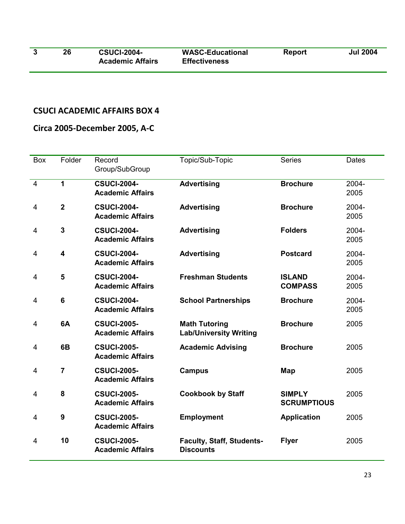| 26 | <b>CSUCI-2004-</b>      | <b>WASC-Educational</b> | <b>Report</b> | <b>Jul 2004</b> |
|----|-------------------------|-------------------------|---------------|-----------------|
|    | <b>Academic Affairs</b> | <b>Effectiveness</b>    |               |                 |

## **Circa 2005-December 2005, A-C**

| Box            | Folder                  | Record<br>Group/SubGroup                      | Topic/Sub-Topic                                       | <b>Series</b>                       | Dates         |
|----------------|-------------------------|-----------------------------------------------|-------------------------------------------------------|-------------------------------------|---------------|
| $\overline{4}$ | 1                       | <b>CSUCI-2004-</b><br><b>Academic Affairs</b> | <b>Advertising</b>                                    | <b>Brochure</b>                     | 2004-<br>2005 |
| 4              | $\overline{2}$          | <b>CSUCI-2004-</b><br><b>Academic Affairs</b> | <b>Advertising</b>                                    | <b>Brochure</b>                     | 2004-<br>2005 |
| 4              | $\overline{\mathbf{3}}$ | <b>CSUCI-2004-</b><br><b>Academic Affairs</b> | <b>Advertising</b>                                    | <b>Folders</b>                      | 2004-<br>2005 |
| 4              | 4                       | <b>CSUCI-2004-</b><br><b>Academic Affairs</b> | <b>Advertising</b>                                    | <b>Postcard</b>                     | 2004-<br>2005 |
| 4              | 5                       | <b>CSUCI-2004-</b><br><b>Academic Affairs</b> | <b>Freshman Students</b>                              | <b>ISLAND</b><br><b>COMPASS</b>     | 2004-<br>2005 |
| 4              | 6                       | <b>CSUCI-2004-</b><br><b>Academic Affairs</b> | <b>School Partnerships</b>                            | <b>Brochure</b>                     | 2004-<br>2005 |
| 4              | 6A                      | <b>CSUCI-2005-</b><br><b>Academic Affairs</b> | <b>Math Tutoring</b><br><b>Lab/University Writing</b> | <b>Brochure</b>                     | 2005          |
| 4              | 6B                      | <b>CSUCI-2005-</b><br><b>Academic Affairs</b> | <b>Academic Advising</b>                              | <b>Brochure</b>                     | 2005          |
| $\overline{4}$ | $\overline{7}$          | <b>CSUCI-2005-</b><br><b>Academic Affairs</b> | <b>Campus</b>                                         | Map                                 | 2005          |
| 4              | 8                       | <b>CSUCI-2005-</b><br><b>Academic Affairs</b> | <b>Cookbook by Staff</b>                              | <b>SIMPLY</b><br><b>SCRUMPTIOUS</b> | 2005          |
| 4              | 9                       | <b>CSUCI-2005-</b><br><b>Academic Affairs</b> | <b>Employment</b>                                     | <b>Application</b>                  | 2005          |
| 4              | 10                      | <b>CSUCI-2005-</b><br><b>Academic Affairs</b> | <b>Faculty, Staff, Students-</b><br><b>Discounts</b>  | <b>Flyer</b>                        | 2005          |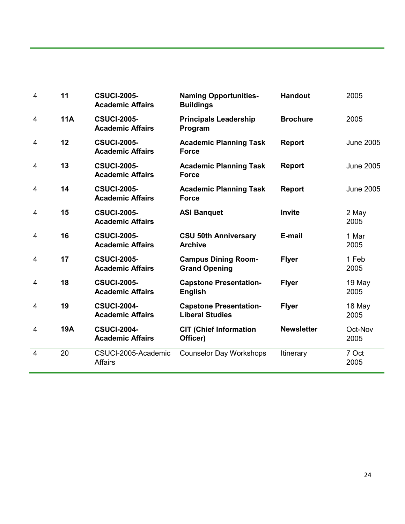| $\overline{4}$ | 11         | <b>CSUCI-2005-</b><br><b>Academic Affairs</b> | <b>Naming Opportunities-</b><br><b>Buildings</b>        | <b>Handout</b>    | 2005             |
|----------------|------------|-----------------------------------------------|---------------------------------------------------------|-------------------|------------------|
| 4              | <b>11A</b> | <b>CSUCI-2005-</b><br><b>Academic Affairs</b> | <b>Principals Leadership</b><br>Program                 | <b>Brochure</b>   | 2005             |
| 4              | 12         | <b>CSUCI-2005-</b><br><b>Academic Affairs</b> | <b>Academic Planning Task</b><br><b>Force</b>           | <b>Report</b>     | <b>June 2005</b> |
| 4              | 13         | <b>CSUCI-2005-</b><br><b>Academic Affairs</b> | <b>Academic Planning Task</b><br><b>Force</b>           | <b>Report</b>     | <b>June 2005</b> |
| 4              | 14         | <b>CSUCI-2005-</b><br><b>Academic Affairs</b> | <b>Academic Planning Task</b><br><b>Force</b>           | <b>Report</b>     | <b>June 2005</b> |
| 4              | 15         | <b>CSUCI-2005-</b><br><b>Academic Affairs</b> | <b>ASI Banquet</b>                                      | <b>Invite</b>     | 2 May<br>2005    |
| 4              | 16         | <b>CSUCI-2005-</b><br><b>Academic Affairs</b> | <b>CSU 50th Anniversary</b><br><b>Archive</b>           | E-mail            | 1 Mar<br>2005    |
| 4              | 17         | <b>CSUCI-2005-</b><br><b>Academic Affairs</b> | <b>Campus Dining Room-</b><br><b>Grand Opening</b>      | <b>Flyer</b>      | 1 Feb<br>2005    |
| 4              | 18         | <b>CSUCI-2005-</b><br><b>Academic Affairs</b> | <b>Capstone Presentation-</b><br><b>English</b>         | <b>Flyer</b>      | 19 May<br>2005   |
| 4              | 19         | <b>CSUCI-2004-</b><br><b>Academic Affairs</b> | <b>Capstone Presentation-</b><br><b>Liberal Studies</b> | <b>Flyer</b>      | 18 May<br>2005   |
| 4              | <b>19A</b> | <b>CSUCI-2004-</b><br><b>Academic Affairs</b> | <b>CIT (Chief Information</b><br>Officer)               | <b>Newsletter</b> | Oct-Nov<br>2005  |
| $\overline{4}$ | 20         | CSUCI-2005-Academic<br><b>Affairs</b>         | <b>Counselor Day Workshops</b>                          | <b>Itinerary</b>  | 7 Oct<br>2005    |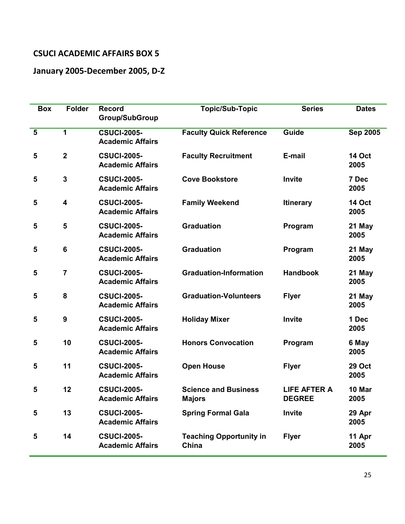## **January 2005-December 2005, D-Z**

| <b>Box</b>              | <b>Folder</b>           | <b>Record</b><br><b>Group/SubGroup</b>        | <b>Topic/Sub-Topic</b>                       | <b>Series</b>                        | <b>Dates</b>          |
|-------------------------|-------------------------|-----------------------------------------------|----------------------------------------------|--------------------------------------|-----------------------|
| $5\phantom{1}$          | 1                       | <b>CSUCI-2005-</b><br><b>Academic Affairs</b> | <b>Faculty Quick Reference</b>               | Guide                                | <b>Sep 2005</b>       |
| 5                       | $\mathbf{2}$            | <b>CSUCI-2005-</b><br><b>Academic Affairs</b> | <b>Faculty Recruitment</b>                   | E-mail                               | <b>14 Oct</b><br>2005 |
| 5                       | $\mathbf{3}$            | <b>CSUCI-2005-</b><br><b>Academic Affairs</b> | <b>Cove Bookstore</b>                        | Invite                               | 7 Dec<br>2005         |
| 5                       | $\overline{\mathbf{4}}$ | <b>CSUCI-2005-</b><br><b>Academic Affairs</b> | <b>Family Weekend</b>                        | <b>Itinerary</b>                     | <b>14 Oct</b><br>2005 |
| 5                       | 5                       | <b>CSUCI-2005-</b><br><b>Academic Affairs</b> | <b>Graduation</b>                            | Program                              | 21 May<br>2005        |
| 5                       | $6\phantom{1}6$         | <b>CSUCI-2005-</b><br><b>Academic Affairs</b> | <b>Graduation</b>                            | Program                              | 21 May<br>2005        |
| $\overline{\mathbf{5}}$ | $\overline{7}$          | <b>CSUCI-2005-</b><br><b>Academic Affairs</b> | <b>Graduation-Information</b>                | <b>Handbook</b>                      | 21 May<br>2005        |
| 5                       | 8                       | <b>CSUCI-2005-</b><br><b>Academic Affairs</b> | <b>Graduation-Volunteers</b>                 | <b>Flyer</b>                         | 21 May<br>2005        |
| 5                       | 9                       | <b>CSUCI-2005-</b><br><b>Academic Affairs</b> | <b>Holiday Mixer</b>                         | Invite                               | 1 Dec<br>2005         |
| 5                       | 10                      | <b>CSUCI-2005-</b><br><b>Academic Affairs</b> | <b>Honors Convocation</b>                    | Program                              | 6 May<br>2005         |
| 5                       | 11                      | <b>CSUCI-2005-</b><br><b>Academic Affairs</b> | <b>Open House</b>                            | <b>Flyer</b>                         | <b>29 Oct</b><br>2005 |
| 5                       | 12                      | <b>CSUCI-2005-</b><br><b>Academic Affairs</b> | <b>Science and Business</b><br><b>Majors</b> | <b>LIFE AFTER A</b><br><b>DEGREE</b> | 10 Mar<br>2005        |
| 5                       | 13                      | <b>CSUCI-2005-</b><br><b>Academic Affairs</b> | <b>Spring Formal Gala</b>                    | Invite                               | 29 Apr<br>2005        |
| 5                       | 14                      | <b>CSUCI-2005-</b><br><b>Academic Affairs</b> | <b>Teaching Opportunity in</b><br>China      | <b>Flyer</b>                         | 11 Apr<br>2005        |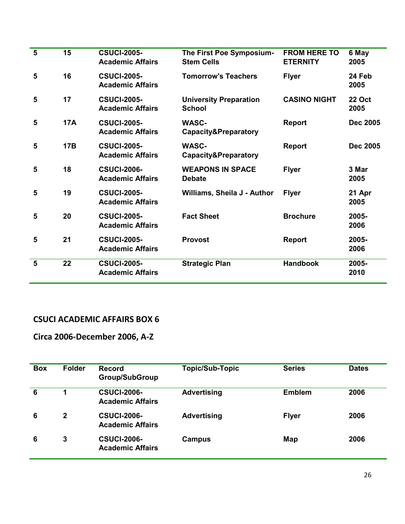| 5 | 15         | <b>CSUCI-2005-</b><br><b>Academic Affairs</b> | The First Poe Symposium-<br><b>Stem Cells</b>   | <b>FROM HERE TO</b><br><b>ETERNITY</b> | 6 May<br>2005         |
|---|------------|-----------------------------------------------|-------------------------------------------------|----------------------------------------|-----------------------|
| 5 | 16         | <b>CSUCI-2005-</b><br><b>Academic Affairs</b> | <b>Tomorrow's Teachers</b>                      | <b>Flyer</b>                           | 24 Feb<br>2005        |
| 5 | 17         | <b>CSUCI-2005-</b><br><b>Academic Affairs</b> | <b>University Preparation</b><br><b>School</b>  | <b>CASINO NIGHT</b>                    | <b>22 Oct</b><br>2005 |
| 5 | <b>17A</b> | <b>CSUCI-2005-</b><br><b>Academic Affairs</b> | <b>WASC-</b><br><b>Capacity&amp;Preparatory</b> | <b>Report</b>                          | <b>Dec 2005</b>       |
| 5 | <b>17B</b> | <b>CSUCI-2005-</b><br><b>Academic Affairs</b> | <b>WASC-</b><br><b>Capacity&amp;Preparatory</b> | <b>Report</b>                          | <b>Dec 2005</b>       |
| 5 | 18         | <b>CSUCI-2006-</b><br><b>Academic Affairs</b> | <b>WEAPONS IN SPACE</b><br><b>Debate</b>        | <b>Flyer</b>                           | 3 Mar<br>2005         |
| 5 | 19         | <b>CSUCI-2005-</b><br><b>Academic Affairs</b> | Williams, Sheila J - Author                     | <b>Flyer</b>                           | 21 Apr<br>2005        |
| 5 | 20         | <b>CSUCI-2005-</b><br><b>Academic Affairs</b> | <b>Fact Sheet</b>                               | <b>Brochure</b>                        | 2005-<br>2006         |
| 5 | 21         | <b>CSUCI-2005-</b><br><b>Academic Affairs</b> | <b>Provost</b>                                  | <b>Report</b>                          | 2005-<br>2006         |
| 5 | 22         | <b>CSUCI-2005-</b><br><b>Academic Affairs</b> | <b>Strategic Plan</b>                           | <b>Handbook</b>                        | 2005-<br>2010         |

## **Circa 2006-December 2006, A-Z**

| <b>Box</b> | <b>Folder</b> | <b>Record</b><br><b>Group/SubGroup</b>        | <b>Topic/Sub-Topic</b> | <b>Series</b> | <b>Dates</b> |
|------------|---------------|-----------------------------------------------|------------------------|---------------|--------------|
| 6          | 1             | <b>CSUCI-2006-</b><br><b>Academic Affairs</b> | <b>Advertising</b>     | Emblem        | 2006         |
| 6          | 2             | <b>CSUCI-2006-</b><br><b>Academic Affairs</b> | <b>Advertising</b>     | <b>Flyer</b>  | 2006         |
| 6          | 3             | <b>CSUCI-2006-</b><br><b>Academic Affairs</b> | Campus                 | Map           | 2006         |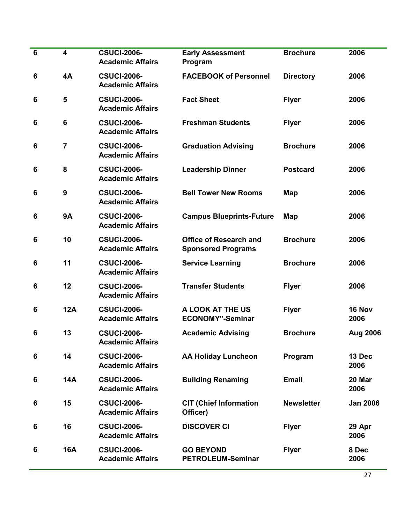| $\bf 6$ | $\overline{\mathbf{4}}$ | <b>CSUCI-2006-</b><br><b>Academic Affairs</b> | <b>Early Assessment</b><br>Program                         | <b>Brochure</b>   | 2006            |
|---------|-------------------------|-----------------------------------------------|------------------------------------------------------------|-------------------|-----------------|
| 6       | 4A                      | <b>CSUCI-2006-</b><br><b>Academic Affairs</b> | <b>FACEBOOK of Personnel</b>                               | <b>Directory</b>  | 2006            |
| 6       | 5                       | <b>CSUCI-2006-</b><br><b>Academic Affairs</b> | <b>Fact Sheet</b>                                          | <b>Flyer</b>      | 2006            |
| 6       | $6\phantom{1}$          | <b>CSUCI-2006-</b><br><b>Academic Affairs</b> | <b>Freshman Students</b>                                   | <b>Flyer</b>      | 2006            |
| 6       | $\overline{7}$          | <b>CSUCI-2006-</b><br><b>Academic Affairs</b> | <b>Graduation Advising</b>                                 | <b>Brochure</b>   | 2006            |
| 6       | 8                       | <b>CSUCI-2006-</b><br><b>Academic Affairs</b> | <b>Leadership Dinner</b>                                   | <b>Postcard</b>   | 2006            |
| 6       | 9                       | <b>CSUCI-2006-</b><br><b>Academic Affairs</b> | <b>Bell Tower New Rooms</b>                                | <b>Map</b>        | 2006            |
| 6       | <b>9A</b>               | <b>CSUCI-2006-</b><br><b>Academic Affairs</b> | <b>Campus Blueprints-Future</b>                            | <b>Map</b>        | 2006            |
| 6       | 10                      | <b>CSUCI-2006-</b><br><b>Academic Affairs</b> | <b>Office of Research and</b><br><b>Sponsored Programs</b> | <b>Brochure</b>   | 2006            |
| 6       | 11                      | <b>CSUCI-2006-</b><br><b>Academic Affairs</b> | <b>Service Learning</b>                                    | <b>Brochure</b>   | 2006            |
| 6       | 12                      | <b>CSUCI-2006-</b><br><b>Academic Affairs</b> | <b>Transfer Students</b>                                   | <b>Flyer</b>      | 2006            |
| 6       | <b>12A</b>              | <b>CSUCI-2006-</b><br><b>Academic Affairs</b> | A LOOK AT THE US<br><b>ECONOMY"-Seminar</b>                | <b>Flyer</b>      | 16 Nov<br>2006  |
| 6       | 13                      | <b>CSUCI-2006-</b><br><b>Academic Affairs</b> | <b>Academic Advising</b>                                   | <b>Brochure</b>   | Aug 2006        |
| 6       | 14                      | <b>CSUCI-2006-</b><br><b>Academic Affairs</b> | <b>AA Holiday Luncheon</b>                                 | Program           | 13 Dec<br>2006  |
| 6       | <b>14A</b>              | <b>CSUCI-2006-</b><br><b>Academic Affairs</b> | <b>Building Renaming</b>                                   | <b>Email</b>      | 20 Mar<br>2006  |
| 6       | 15                      | <b>CSUCI-2006-</b><br><b>Academic Affairs</b> | <b>CIT (Chief Information</b><br>Officer)                  | <b>Newsletter</b> | <b>Jan 2006</b> |
| 6       | 16                      | <b>CSUCI-2006-</b><br><b>Academic Affairs</b> | <b>DISCOVER CI</b>                                         | <b>Flyer</b>      | 29 Apr<br>2006  |
| 6       | <b>16A</b>              | <b>CSUCI-2006-</b><br><b>Academic Affairs</b> | <b>GO BEYOND</b><br><b>PETROLEUM-Seminar</b>               | <b>Flyer</b>      | 8 Dec<br>2006   |
|         |                         |                                               |                                                            |                   |                 |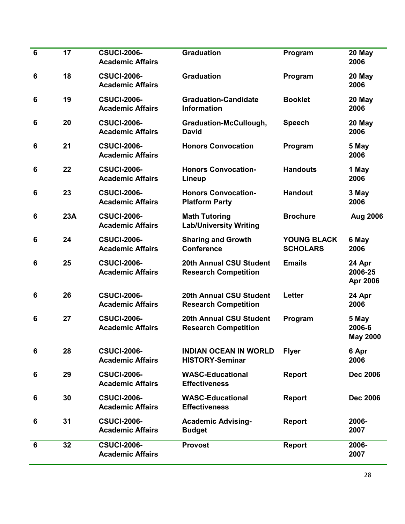| $6\phantom{1}6$ | 17  | <b>CSUCI-2006-</b><br><b>Academic Affairs</b> | <b>Graduation</b>                                             | Program                               | 20 May<br>2006                     |
|-----------------|-----|-----------------------------------------------|---------------------------------------------------------------|---------------------------------------|------------------------------------|
| 6               | 18  | <b>CSUCI-2006-</b><br><b>Academic Affairs</b> | <b>Graduation</b>                                             | Program                               | 20 May<br>2006                     |
| 6               | 19  | <b>CSUCI-2006-</b><br><b>Academic Affairs</b> | <b>Graduation-Candidate</b><br><b>Information</b>             | <b>Booklet</b>                        | 20 May<br>2006                     |
| 6               | 20  | <b>CSUCI-2006-</b><br><b>Academic Affairs</b> | Graduation-McCullough,<br><b>David</b>                        | <b>Speech</b>                         | 20 May<br>2006                     |
| 6               | 21  | <b>CSUCI-2006-</b><br><b>Academic Affairs</b> | <b>Honors Convocation</b>                                     | Program                               | 5 May<br>2006                      |
| 6               | 22  | <b>CSUCI-2006-</b><br><b>Academic Affairs</b> | <b>Honors Convocation-</b><br>Lineup                          | <b>Handouts</b>                       | 1 May<br>2006                      |
| 6               | 23  | <b>CSUCI-2006-</b><br><b>Academic Affairs</b> | <b>Honors Convocation-</b><br><b>Platform Party</b>           | <b>Handout</b>                        | 3 May<br>2006                      |
| 6               | 23A | <b>CSUCI-2006-</b><br><b>Academic Affairs</b> | <b>Math Tutoring</b><br><b>Lab/University Writing</b>         | <b>Brochure</b>                       | Aug 2006                           |
| 6               | 24  | <b>CSUCI-2006-</b><br><b>Academic Affairs</b> | <b>Sharing and Growth</b><br><b>Conference</b>                | <b>YOUNG BLACK</b><br><b>SCHOLARS</b> | 6 May<br>2006                      |
| 6               | 25  | <b>CSUCI-2006-</b><br><b>Academic Affairs</b> | <b>20th Annual CSU Student</b><br><b>Research Competition</b> | <b>Emails</b>                         | 24 Apr<br>2006-25<br>Apr 2006      |
| 6               | 26  | <b>CSUCI-2006-</b><br><b>Academic Affairs</b> | <b>20th Annual CSU Student</b><br><b>Research Competition</b> | <b>Letter</b>                         | 24 Apr<br>2006                     |
| 6               | 27  | <b>CSUCI-2006-</b><br><b>Academic Affairs</b> | <b>20th Annual CSU Student</b><br><b>Research Competition</b> | Program                               | 5 May<br>2006-6<br><b>May 2000</b> |
| 6               | 28  | <b>CSUCI-2006-</b><br><b>Academic Affairs</b> | <b>INDIAN OCEAN IN WORLD</b><br><b>HISTORY-Seminar</b>        | <b>Flyer</b>                          | 6 Apr<br>2006                      |
| 6               | 29  | <b>CSUCI-2006-</b><br><b>Academic Affairs</b> | <b>WASC-Educational</b><br><b>Effectiveness</b>               | <b>Report</b>                         | <b>Dec 2006</b>                    |
| 6               | 30  | <b>CSUCI-2006-</b><br><b>Academic Affairs</b> | <b>WASC-Educational</b><br><b>Effectiveness</b>               | <b>Report</b>                         | <b>Dec 2006</b>                    |
| 6               | 31  | <b>CSUCI-2006-</b><br><b>Academic Affairs</b> | <b>Academic Advising-</b><br><b>Budget</b>                    | <b>Report</b>                         | 2006-<br>2007                      |
| $6\phantom{1}$  | 32  | <b>CSUCI-2006-</b><br><b>Academic Affairs</b> | <b>Provost</b>                                                | <b>Report</b>                         | 2006-<br>2007                      |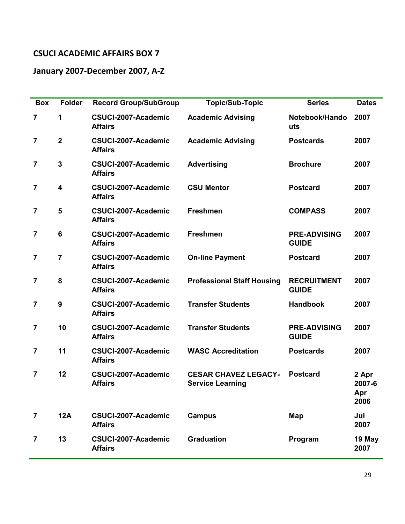## **January 2007-December 2007, A-Z**

| <b>Box</b>              | Folder           | <b>Record Group/SubGroup</b>          | <b>Topic/Sub-Topic</b>                                 | <b>Series</b>                       | <b>Dates</b>                   |
|-------------------------|------------------|---------------------------------------|--------------------------------------------------------|-------------------------------------|--------------------------------|
| $\overline{7}$          | 1                | CSUCI-2007-Academic<br><b>Affairs</b> | <b>Academic Advising</b>                               | Notebook/Hando<br>uts               | 2007                           |
| 7                       | $\mathbf{2}$     | CSUCI-2007-Academic<br><b>Affairs</b> | <b>Academic Advising</b>                               | <b>Postcards</b>                    | 2007                           |
| 7                       | 3                | CSUCI-2007-Academic<br><b>Affairs</b> | <b>Advertising</b>                                     | <b>Brochure</b>                     | 2007                           |
| $\overline{7}$          | 4                | CSUCI-2007-Academic<br><b>Affairs</b> | <b>CSU Mentor</b>                                      | <b>Postcard</b>                     | 2007                           |
| $\overline{7}$          | 5                | CSUCI-2007-Academic<br><b>Affairs</b> | <b>Freshmen</b>                                        | <b>COMPASS</b>                      | 2007                           |
| $\overline{\mathbf{7}}$ | $6\phantom{1}6$  | CSUCI-2007-Academic<br><b>Affairs</b> | <b>Freshmen</b>                                        | <b>PRE-ADVISING</b><br><b>GUIDE</b> | 2007                           |
| $\overline{\mathbf{7}}$ | $\overline{7}$   | CSUCI-2007-Academic<br><b>Affairs</b> | <b>On-line Payment</b>                                 | <b>Postcard</b>                     | 2007                           |
| $\overline{\mathbf{7}}$ | 8                | CSUCI-2007-Academic<br><b>Affairs</b> | <b>Professional Staff Housing</b>                      | <b>RECRUITMENT</b><br><b>GUIDE</b>  | 2007                           |
| $\overline{\mathbf{7}}$ | $\boldsymbol{9}$ | CSUCI-2007-Academic<br><b>Affairs</b> | <b>Transfer Students</b>                               | <b>Handbook</b>                     | 2007                           |
| 7                       | 10               | CSUCI-2007-Academic<br><b>Affairs</b> | <b>Transfer Students</b>                               | <b>PRE-ADVISING</b><br><b>GUIDE</b> | 2007                           |
| $\overline{\mathbf{7}}$ | 11               | CSUCI-2007-Academic<br><b>Affairs</b> | <b>WASC Accreditation</b>                              | <b>Postcards</b>                    | 2007                           |
| $\overline{7}$          | 12               | CSUCI-2007-Academic<br><b>Affairs</b> | <b>CESAR CHAVEZ LEGACY-</b><br><b>Service Learning</b> | <b>Postcard</b>                     | 2 Apr<br>2007-6<br>Apr<br>2006 |
| $\overline{\mathbf{7}}$ | <b>12A</b>       | CSUCI-2007-Academic<br><b>Affairs</b> | <b>Campus</b>                                          | Map                                 | Jul<br>2007                    |
| 7                       | 13               | CSUCI-2007-Academic<br><b>Affairs</b> | <b>Graduation</b>                                      | Program                             | 19 May<br>2007                 |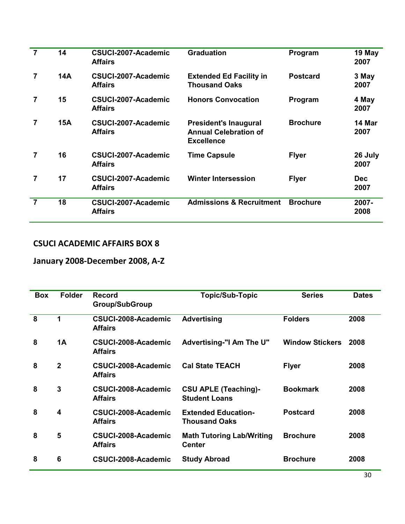| $\overline{7}$ | 14         | CSUCI-2007-Academic<br><b>Affairs</b> | <b>Graduation</b>                                                                 | Program         | 19 May<br>2007     |
|----------------|------------|---------------------------------------|-----------------------------------------------------------------------------------|-----------------|--------------------|
| $\overline{7}$ | <b>14A</b> | CSUCI-2007-Academic<br><b>Affairs</b> | <b>Extended Ed Facility in</b><br><b>Thousand Oaks</b>                            | <b>Postcard</b> | 3 May<br>2007      |
| 7              | 15         | CSUCI-2007-Academic<br><b>Affairs</b> | <b>Honors Convocation</b>                                                         | Program         | 4 May<br>2007      |
| 7              | 15A        | CSUCI-2007-Academic<br><b>Affairs</b> | <b>President's Inaugural</b><br><b>Annual Celebration of</b><br><b>Excellence</b> | <b>Brochure</b> | 14 Mar<br>2007     |
| 7              | 16         | CSUCI-2007-Academic<br><b>Affairs</b> | <b>Time Capsule</b>                                                               | <b>Flyer</b>    | 26 July<br>2007    |
| 7              | 17         | CSUCI-2007-Academic<br><b>Affairs</b> | <b>Winter Intersession</b>                                                        | <b>Flyer</b>    | <b>Dec</b><br>2007 |
| $\overline{7}$ | 18         | CSUCI-2007-Academic<br><b>Affairs</b> | <b>Admissions &amp; Recruitment</b>                                               | <b>Brochure</b> | 2007-<br>2008      |

## **January 2008-December 2008, A-Z**

| <b>Box</b> | <b>Folder</b>           | <b>Record</b><br><b>Group/SubGroup</b> | <b>Topic/Sub-Topic</b>                              | <b>Series</b>          | <b>Dates</b> |
|------------|-------------------------|----------------------------------------|-----------------------------------------------------|------------------------|--------------|
| 8          | 1                       | CSUCI-2008-Academic<br><b>Affairs</b>  | <b>Advertising</b>                                  | <b>Folders</b>         | 2008         |
| 8          | 1A                      | CSUCI-2008-Academic<br><b>Affairs</b>  | <b>Advertising-"I Am The U"</b>                     | <b>Window Stickers</b> | 2008         |
| 8          | $\mathbf{2}$            | CSUCI-2008-Academic<br><b>Affairs</b>  | <b>Cal State TEACH</b>                              | <b>Flyer</b>           | 2008         |
| 8          | 3                       | CSUCI-2008-Academic<br><b>Affairs</b>  | <b>CSU APLE (Teaching)-</b><br><b>Student Loans</b> | <b>Bookmark</b>        | 2008         |
| 8          | $\overline{\mathbf{4}}$ | CSUCI-2008-Academic<br><b>Affairs</b>  | <b>Extended Education-</b><br><b>Thousand Oaks</b>  | <b>Postcard</b>        | 2008         |
| 8          | 5                       | CSUCI-2008-Academic<br><b>Affairs</b>  | <b>Math Tutoring Lab/Writing</b><br><b>Center</b>   | <b>Brochure</b>        | 2008         |
| 8          | 6                       | CSUCI-2008-Academic                    | <b>Study Abroad</b>                                 | <b>Brochure</b>        | 2008         |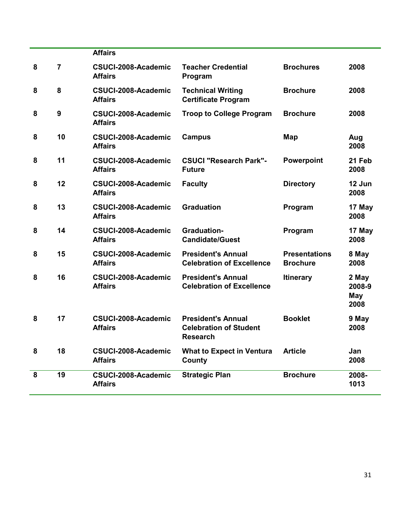|   |    | <b>Affairs</b>                        |                                                                               |                                         |                                |
|---|----|---------------------------------------|-------------------------------------------------------------------------------|-----------------------------------------|--------------------------------|
| 8 | 7  | CSUCI-2008-Academic<br><b>Affairs</b> | <b>Teacher Credential</b><br>Program                                          | <b>Brochures</b>                        | 2008                           |
| 8 | 8  | CSUCI-2008-Academic<br><b>Affairs</b> | <b>Technical Writing</b><br><b>Certificate Program</b>                        | <b>Brochure</b>                         | 2008                           |
| 8 | 9  | CSUCI-2008-Academic<br><b>Affairs</b> | <b>Troop to College Program</b>                                               | <b>Brochure</b>                         | 2008                           |
| 8 | 10 | CSUCI-2008-Academic<br><b>Affairs</b> | <b>Campus</b>                                                                 | <b>Map</b>                              | Aug<br>2008                    |
| 8 | 11 | CSUCI-2008-Academic<br><b>Affairs</b> | <b>CSUCI "Research Park"-</b><br><b>Future</b>                                | Powerpoint                              | 21 Feb<br>2008                 |
| 8 | 12 | CSUCI-2008-Academic<br><b>Affairs</b> | <b>Faculty</b>                                                                | <b>Directory</b>                        | 12 Jun<br>2008                 |
| 8 | 13 | CSUCI-2008-Academic<br><b>Affairs</b> | <b>Graduation</b>                                                             | Program                                 | 17 May<br>2008                 |
| 8 | 14 | CSUCI-2008-Academic<br><b>Affairs</b> | <b>Graduation-</b><br><b>Candidate/Guest</b>                                  | Program                                 | 17 May<br>2008                 |
| 8 | 15 | CSUCI-2008-Academic<br><b>Affairs</b> | <b>President's Annual</b><br><b>Celebration of Excellence</b>                 | <b>Presentations</b><br><b>Brochure</b> | 8 May<br>2008                  |
| 8 | 16 | CSUCI-2008-Academic<br><b>Affairs</b> | <b>President's Annual</b><br><b>Celebration of Excellence</b>                 | <b>Itinerary</b>                        | 2 May<br>2008-9<br>May<br>2008 |
| 8 | 17 | CSUCI-2008-Academic<br><b>Affairs</b> | <b>President's Annual</b><br><b>Celebration of Student</b><br><b>Research</b> | <b>Booklet</b>                          | 9 May<br>2008                  |
| 8 | 18 | CSUCI-2008-Academic<br><b>Affairs</b> | <b>What to Expect in Ventura</b><br>County                                    | <b>Article</b>                          | Jan<br>2008                    |
| 8 | 19 | CSUCI-2008-Academic<br><b>Affairs</b> | <b>Strategic Plan</b>                                                         | <b>Brochure</b>                         | 2008-<br>1013                  |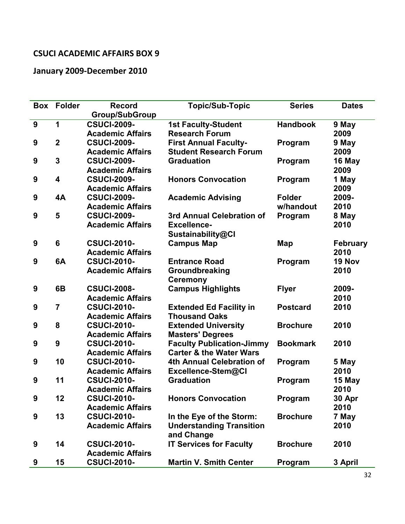## **January 2009-December 2010**

| <b>Box</b>       | <b>Folder</b>   | <b>Record</b>           | <b>Topic/Sub-Topic</b>             | <b>Series</b>   | <b>Dates</b>    |
|------------------|-----------------|-------------------------|------------------------------------|-----------------|-----------------|
|                  |                 | <b>Group/SubGroup</b>   |                                    |                 |                 |
| $\boldsymbol{9}$ | 1               | <b>CSUCI-2009-</b>      | <b>1st Faculty-Student</b>         | <b>Handbook</b> | 9 May           |
|                  |                 | <b>Academic Affairs</b> | <b>Research Forum</b>              |                 | 2009            |
| $\boldsymbol{9}$ | $\overline{2}$  | <b>CSUCI-2009-</b>      | <b>First Annual Faculty-</b>       | Program         | 9 May           |
|                  |                 | <b>Academic Affairs</b> | <b>Student Research Forum</b>      |                 | 2009            |
| 9                | $\mathbf{3}$    | <b>CSUCI-2009-</b>      | <b>Graduation</b>                  | Program         | 16 May          |
|                  |                 | <b>Academic Affairs</b> |                                    |                 | 2009            |
| 9                | 4               | <b>CSUCI-2009-</b>      | <b>Honors Convocation</b>          | Program         | 1 May           |
|                  |                 | <b>Academic Affairs</b> |                                    |                 | 2009            |
| 9                | 4A              | <b>CSUCI-2009-</b>      | <b>Academic Advising</b>           | <b>Folder</b>   | 2009-           |
|                  |                 | <b>Academic Affairs</b> |                                    | w/handout       | 2010            |
| 9                | 5               | <b>CSUCI-2009-</b>      | 3rd Annual Celebration of          | Program         | 8 May           |
|                  |                 | <b>Academic Affairs</b> | <b>Excellence-</b>                 |                 | 2010            |
|                  |                 |                         | Sustainability@Cl                  |                 |                 |
| 9                | $6\phantom{1}6$ | <b>CSUCI-2010-</b>      | <b>Campus Map</b>                  | <b>Map</b>      | <b>February</b> |
|                  |                 | <b>Academic Affairs</b> |                                    |                 | 2010            |
| $\boldsymbol{9}$ | 6A              | <b>CSUCI-2010-</b>      | <b>Entrance Road</b>               | Program         | 19 Nov          |
|                  |                 | <b>Academic Affairs</b> | Groundbreaking                     |                 | 2010            |
|                  |                 |                         | <b>Ceremony</b>                    |                 |                 |
| 9                | 6B              | <b>CSUCI-2008-</b>      | <b>Campus Highlights</b>           | <b>Flyer</b>    | 2009-           |
|                  |                 | <b>Academic Affairs</b> |                                    |                 | 2010            |
| 9                | $\overline{7}$  | <b>CSUCI-2010-</b>      | <b>Extended Ed Facility in</b>     | <b>Postcard</b> | 2010            |
|                  |                 | <b>Academic Affairs</b> | <b>Thousand Oaks</b>               |                 |                 |
| 9                | 8               | <b>CSUCI-2010-</b>      | <b>Extended University</b>         | <b>Brochure</b> | 2010            |
|                  |                 | <b>Academic Affairs</b> | <b>Masters' Degrees</b>            |                 |                 |
| 9                | 9               | <b>CSUCI-2010-</b>      | <b>Faculty Publication-Jimmy</b>   | <b>Bookmark</b> | 2010            |
|                  |                 | <b>Academic Affairs</b> | <b>Carter &amp; the Water Wars</b> |                 |                 |
| 9                | 10              | <b>CSUCI-2010-</b>      | 4th Annual Celebration of          | Program         | 5 May           |
|                  |                 | <b>Academic Affairs</b> | Excellence-Stem@CI                 |                 | 2010            |
| 9                | 11              | <b>CSUCI-2010-</b>      | <b>Graduation</b>                  | Program         | 15 May          |
|                  |                 | <b>Academic Affairs</b> |                                    |                 | 2010            |
| 9                | 12              | <b>CSUCI-2010-</b>      | <b>Honors Convocation</b>          | Program         | 30 Apr          |
|                  |                 | <b>Academic Affairs</b> |                                    |                 | 2010            |
| 9                | 13              | <b>CSUCI-2010-</b>      | In the Eye of the Storm:           | <b>Brochure</b> | 7 May           |
|                  |                 | <b>Academic Affairs</b> | <b>Understanding Transition</b>    |                 | 2010            |
|                  |                 |                         | and Change                         |                 |                 |
| 9                | 14              | <b>CSUCI-2010-</b>      | <b>IT Services for Faculty</b>     | <b>Brochure</b> | 2010            |
|                  |                 | <b>Academic Affairs</b> |                                    |                 |                 |
| 9                | 15              | <b>CSUCI-2010-</b>      | <b>Martin V. Smith Center</b>      | Program         | 3 April         |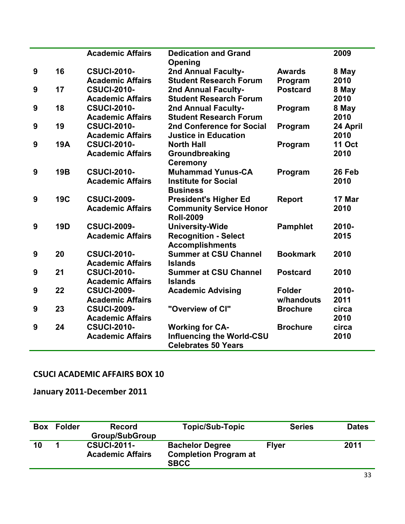|                  |            | <b>Academic Affairs</b> | <b>Dedication and Grand</b><br>Opening |                 | 2009          |
|------------------|------------|-------------------------|----------------------------------------|-----------------|---------------|
| 9                | 16         | <b>CSUCI-2010-</b>      | 2nd Annual Faculty-                    | <b>Awards</b>   | 8 May         |
|                  |            | <b>Academic Affairs</b> | <b>Student Research Forum</b>          | Program         | 2010          |
| 9                | 17         | <b>CSUCI-2010-</b>      | 2nd Annual Faculty-                    | <b>Postcard</b> | 8 May         |
|                  |            | <b>Academic Affairs</b> | <b>Student Research Forum</b>          |                 | 2010          |
| 9                | 18         | <b>CSUCI-2010-</b>      | 2nd Annual Faculty-                    | Program         | 8 May         |
|                  |            | <b>Academic Affairs</b> | <b>Student Research Forum</b>          |                 | 2010          |
| 9                | 19         | <b>CSUCI-2010-</b>      | <b>2nd Conference for Social</b>       | Program         | 24 April      |
|                  |            | <b>Academic Affairs</b> | <b>Justice in Education</b>            |                 | 2010          |
| 9                | <b>19A</b> | <b>CSUCI-2010-</b>      | <b>North Hall</b>                      | Program         | <b>11 Oct</b> |
|                  |            | <b>Academic Affairs</b> | Groundbreaking                         |                 | 2010          |
|                  |            |                         | <b>Ceremony</b>                        |                 |               |
| 9                | <b>19B</b> | <b>CSUCI-2010-</b>      | <b>Muhammad Yunus-CA</b>               | Program         | 26 Feb        |
|                  |            | <b>Academic Affairs</b> | <b>Institute for Social</b>            |                 | 2010          |
|                  |            |                         | <b>Business</b>                        |                 |               |
| $\boldsymbol{9}$ | <b>19C</b> | <b>CSUCI-2009-</b>      | <b>President's Higher Ed</b>           | <b>Report</b>   | 17 Mar        |
|                  |            | <b>Academic Affairs</b> | <b>Community Service Honor</b>         |                 | 2010          |
|                  |            |                         | <b>Roll-2009</b>                       |                 |               |
| 9                | <b>19D</b> | <b>CSUCI-2009-</b>      | <b>University-Wide</b>                 | <b>Pamphlet</b> | 2010-         |
|                  |            | <b>Academic Affairs</b> | <b>Recognition - Select</b>            |                 | 2015          |
|                  |            |                         | <b>Accomplishments</b>                 |                 |               |
| 9                | 20         | <b>CSUCI-2010-</b>      | <b>Summer at CSU Channel</b>           | <b>Bookmark</b> | 2010          |
|                  |            | <b>Academic Affairs</b> | <b>Islands</b>                         |                 |               |
| 9                | 21         | <b>CSUCI-2010-</b>      | <b>Summer at CSU Channel</b>           | <b>Postcard</b> | 2010          |
|                  |            | <b>Academic Affairs</b> | <b>Islands</b>                         |                 |               |
| 9                | 22         | <b>CSUCI-2009-</b>      | <b>Academic Advising</b>               | <b>Folder</b>   | 2010-         |
|                  |            | <b>Academic Affairs</b> |                                        | w/handouts      | 2011          |
| 9                | 23         | <b>CSUCI-2009-</b>      | "Overview of CI"                       | <b>Brochure</b> | circa         |
|                  |            | <b>Academic Affairs</b> |                                        |                 | 2010          |
| 9                | 24         | <b>CSUCI-2010-</b>      | <b>Working for CA-</b>                 | <b>Brochure</b> | circa         |
|                  |            | <b>Academic Affairs</b> | <b>Influencing the World-CSU</b>       |                 | 2010          |
|                  |            |                         | <b>Celebrates 50 Years</b>             |                 |               |

**January 2011-December 2011**

| <b>Box</b> | <b>Folder</b> | <b>Record</b><br><b>Group/SubGroup</b>        | <b>Topic/Sub-Topic</b>                                                | <b>Series</b> | <b>Dates</b> |
|------------|---------------|-----------------------------------------------|-----------------------------------------------------------------------|---------------|--------------|
| 10         |               | <b>CSUCI-2011-</b><br><b>Academic Affairs</b> | <b>Bachelor Degree</b><br><b>Completion Program at</b><br><b>SBCC</b> | <b>Flyer</b>  | 2011         |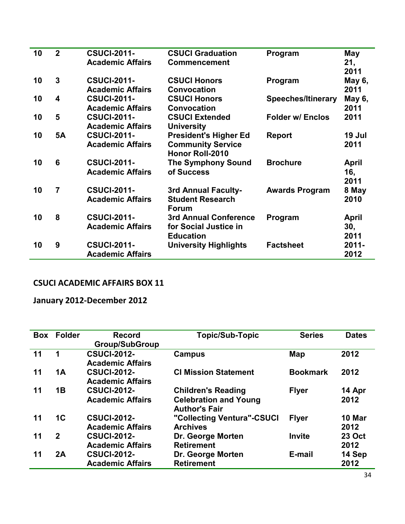| 10 | $\overline{2}$          | <b>CSUCI-2011-</b><br><b>Academic Affairs</b> | <b>CSUCI Graduation</b><br><b>Commencement</b> | Program                   | May<br>21,    |
|----|-------------------------|-----------------------------------------------|------------------------------------------------|---------------------------|---------------|
|    |                         |                                               |                                                |                           | 2011          |
| 10 | $\overline{\mathbf{3}}$ | <b>CSUCI-2011-</b>                            | <b>CSUCI Honors</b>                            | Program                   | May 6,        |
|    |                         | <b>Academic Affairs</b>                       | <b>Convocation</b>                             |                           | 2011          |
| 10 | 4                       | <b>CSUCI-2011-</b>                            | <b>CSUCI Honors</b>                            | <b>Speeches/Itinerary</b> | <b>May 6,</b> |
|    |                         | <b>Academic Affairs</b>                       | <b>Convocation</b>                             |                           | 2011          |
| 10 | 5                       | <b>CSUCI-2011-</b>                            | <b>CSUCI Extended</b>                          | <b>Folder w/ Enclos</b>   | 2011          |
|    |                         | <b>Academic Affairs</b>                       | <b>University</b>                              |                           |               |
| 10 | <b>5A</b>               | <b>CSUCI-2011-</b>                            | <b>President's Higher Ed</b>                   | <b>Report</b>             | 19 Jul        |
|    |                         | <b>Academic Affairs</b>                       | <b>Community Service</b>                       |                           | 2011          |
|    |                         |                                               | Honor Roll-2010                                |                           |               |
| 10 | 6                       | <b>CSUCI-2011-</b>                            | <b>The Symphony Sound</b>                      | <b>Brochure</b>           | <b>April</b>  |
|    |                         | <b>Academic Affairs</b>                       | of Success                                     |                           | 16,           |
|    |                         |                                               |                                                |                           | 2011          |
| 10 | $\overline{7}$          | <b>CSUCI-2011-</b>                            | 3rd Annual Faculty-                            | <b>Awards Program</b>     | 8 May         |
|    |                         | <b>Academic Affairs</b>                       | <b>Student Research</b><br><b>Forum</b>        |                           | 2010          |
| 10 | 8                       | <b>CSUCI-2011-</b>                            | <b>3rd Annual Conference</b>                   | Program                   | <b>April</b>  |
|    |                         | <b>Academic Affairs</b>                       | for Social Justice in                          |                           | 30,           |
|    |                         |                                               | <b>Education</b>                               |                           | 2011          |
| 10 | 9                       | <b>CSUCI-2011-</b>                            | <b>University Highlights</b>                   | <b>Factsheet</b>          | $2011 -$      |
|    |                         | <b>Academic Affairs</b>                       |                                                |                           | 2012          |

**January 2012-December 2012**

| <b>Box</b> | <b>Folder</b> | <b>Record</b><br><b>Group/SubGroup</b>        | <b>Topic/Sub-Topic</b>                                                            | <b>Series</b>   | <b>Dates</b>          |
|------------|---------------|-----------------------------------------------|-----------------------------------------------------------------------------------|-----------------|-----------------------|
| 11         | 1             | <b>CSUCI-2012-</b><br><b>Academic Affairs</b> | Campus                                                                            | Map             | 2012                  |
| 11         | <b>1A</b>     | <b>CSUCI-2012-</b><br><b>Academic Affairs</b> | <b>CI Mission Statement</b>                                                       | <b>Bookmark</b> | 2012                  |
| 11         | <b>1B</b>     | <b>CSUCI-2012-</b><br><b>Academic Affairs</b> | <b>Children's Reading</b><br><b>Celebration and Young</b><br><b>Author's Fair</b> | <b>Flyer</b>    | 14 Apr<br>2012        |
| 11         | 1C            | <b>CSUCI-2012-</b><br><b>Academic Affairs</b> | "Collecting Ventura"-CSUCI<br><b>Archives</b>                                     | <b>Flyer</b>    | 10 Mar<br>2012        |
| 11         | $\mathbf{2}$  | <b>CSUCI-2012-</b><br><b>Academic Affairs</b> | Dr. George Morten<br><b>Retirement</b>                                            | <b>Invite</b>   | <b>23 Oct</b><br>2012 |
| 11         | 2A            | <b>CSUCI-2012-</b><br><b>Academic Affairs</b> | Dr. George Morten<br><b>Retirement</b>                                            | E-mail          | 14 Sep<br>2012        |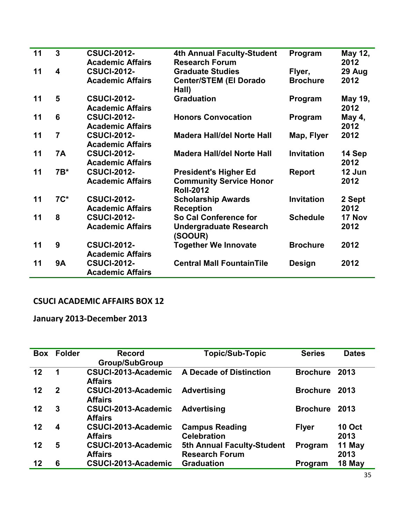| 11 | 3                       | <b>CSUCI-2012-</b>                            | <b>4th Annual Faculty-Student</b>                  | Program           | May 12,         |
|----|-------------------------|-----------------------------------------------|----------------------------------------------------|-------------------|-----------------|
|    |                         | <b>Academic Affairs</b>                       | <b>Research Forum</b>                              |                   | 2012            |
| 11 | $\overline{\mathbf{4}}$ | <b>CSUCI-2012-</b>                            | <b>Graduate Studies</b>                            | Flyer,            | 29 Aug          |
|    |                         | <b>Academic Affairs</b>                       | <b>Center/STEM (El Dorado</b><br>Hall)             | <b>Brochure</b>   | 2012            |
| 11 | 5                       | <b>CSUCI-2012-</b><br><b>Academic Affairs</b> | <b>Graduation</b>                                  | Program           | May 19,<br>2012 |
| 11 | $6\phantom{1}6$         | <b>CSUCI-2012-</b><br><b>Academic Affairs</b> | <b>Honors Convocation</b>                          | Program           | May 4,<br>2012  |
|    |                         |                                               |                                                    |                   |                 |
| 11 | $\overline{7}$          | <b>CSUCI-2012-</b><br><b>Academic Affairs</b> | <b>Madera Hall/del Norte Hall</b>                  | Map, Flyer        | 2012            |
| 11 | <b>7A</b>               | <b>CSUCI-2012-</b>                            | <b>Madera Hall/del Norte Hall</b>                  | <b>Invitation</b> | 14 Sep          |
|    |                         | <b>Academic Affairs</b>                       |                                                    |                   | 2012            |
| 11 | $7B*$                   | <b>CSUCI-2012-</b>                            | <b>President's Higher Ed</b>                       | <b>Report</b>     | 12 Jun          |
|    |                         | <b>Academic Affairs</b>                       | <b>Community Service Honor</b><br><b>Roll-2012</b> |                   | 2012            |
| 11 | 7C*                     | <b>CSUCI-2012-</b>                            | <b>Scholarship Awards</b>                          | <b>Invitation</b> | 2 Sept          |
|    |                         | <b>Academic Affairs</b>                       | <b>Reception</b>                                   |                   | 2012            |
| 11 | 8                       | <b>CSUCI-2012-</b>                            | So Cal Conference for                              | <b>Schedule</b>   | 17 Nov          |
|    |                         | <b>Academic Affairs</b>                       | <b>Undergraduate Research</b><br>(SOOUR)           |                   | 2012            |
| 11 | 9                       | <b>CSUCI-2012-</b><br><b>Academic Affairs</b> | <b>Together We Innovate</b>                        | <b>Brochure</b>   | 2012            |
| 11 | <b>9A</b>               | <b>CSUCI-2012-</b><br><b>Academic Affairs</b> | <b>Central Mall FountainTile</b>                   | <b>Design</b>     | 2012            |

**January 2013-December 2013**

| <b>Box</b> | <b>Folder</b> | <b>Record</b><br><b>Group/SubGroup</b> | <b>Topic/Sub-Topic</b>                              | <b>Series</b>   | <b>Dates</b>          |
|------------|---------------|----------------------------------------|-----------------------------------------------------|-----------------|-----------------------|
| 12         | 1             | CSUCI-2013-Academic<br><b>Affairs</b>  | <b>A Decade of Distinction</b>                      | <b>Brochure</b> | 2013                  |
| 12         | $\mathbf 2$   | CSUCI-2013-Academic<br><b>Affairs</b>  | <b>Advertising</b>                                  | <b>Brochure</b> | 2013                  |
| 12         | 3             | CSUCI-2013-Academic<br><b>Affairs</b>  | <b>Advertising</b>                                  | <b>Brochure</b> | 2013                  |
| 12         | 4             | CSUCI-2013-Academic<br><b>Affairs</b>  | <b>Campus Reading</b><br><b>Celebration</b>         | <b>Flyer</b>    | <b>10 Oct</b><br>2013 |
| 12         | 5             | CSUCI-2013-Academic<br><b>Affairs</b>  | 5th Annual Faculty-Student<br><b>Research Forum</b> | Program         | 11 May<br>2013        |
| 12         | 6             | CSUCI-2013-Academic                    | <b>Graduation</b>                                   | Program         | 18 May                |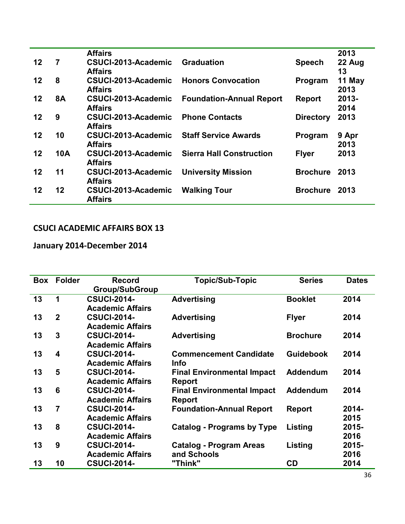|         |                | <b>Affairs</b>      |                                 |                  | 2013     |
|---------|----------------|---------------------|---------------------------------|------------------|----------|
| $12 \,$ | $\overline{7}$ | CSUCI-2013-Academic | <b>Graduation</b>               | <b>Speech</b>    | 22 Aug   |
|         |                | <b>Affairs</b>      |                                 |                  | 13       |
| 12      | 8              | CSUCI-2013-Academic | <b>Honors Convocation</b>       | Program          | 11 May   |
|         |                | <b>Affairs</b>      |                                 |                  | 2013     |
| 12      | <b>8A</b>      | CSUCI-2013-Academic | <b>Foundation-Annual Report</b> | <b>Report</b>    | $2013 -$ |
|         |                | <b>Affairs</b>      |                                 |                  | 2014     |
| 12      | 9              | CSUCI-2013-Academic | <b>Phone Contacts</b>           | <b>Directory</b> | 2013     |
|         |                | <b>Affairs</b>      |                                 |                  |          |
| 12      | 10             | CSUCI-2013-Academic | <b>Staff Service Awards</b>     | Program          | 9 Apr    |
|         |                | <b>Affairs</b>      |                                 |                  | 2013     |
| 12      | <b>10A</b>     | CSUCI-2013-Academic | <b>Sierra Hall Construction</b> | <b>Flyer</b>     | 2013     |
|         |                | <b>Affairs</b>      |                                 |                  |          |
| 12      | 11             | CSUCI-2013-Academic | <b>University Mission</b>       | <b>Brochure</b>  | 2013     |
|         |                | <b>Affairs</b>      |                                 |                  |          |
| 12      | 12             | CSUCI-2013-Academic | <b>Walking Tour</b>             | <b>Brochure</b>  | 2013     |
|         |                | <b>Affairs</b>      |                                 |                  |          |
|         |                |                     |                                 |                  |          |

## **January 2014-December 2014**

| <b>Box</b> | <b>Folder</b>   | <b>Record</b>           | <b>Topic/Sub-Topic</b>            | <b>Series</b>    | <b>Dates</b> |
|------------|-----------------|-------------------------|-----------------------------------|------------------|--------------|
|            |                 | <b>Group/SubGroup</b>   |                                   |                  |              |
| 13         | 1               | <b>CSUCI-2014-</b>      | <b>Advertising</b>                | <b>Booklet</b>   | 2014         |
|            |                 | <b>Academic Affairs</b> |                                   |                  |              |
| 13         | $\overline{2}$  | <b>CSUCI-2014-</b>      | <b>Advertising</b>                | <b>Flyer</b>     | 2014         |
|            |                 | <b>Academic Affairs</b> |                                   |                  |              |
| 13         | 3               | <b>CSUCI-2014-</b>      | <b>Advertising</b>                | <b>Brochure</b>  | 2014         |
|            |                 | <b>Academic Affairs</b> |                                   |                  |              |
| 13         | 4               | <b>CSUCI-2014-</b>      | <b>Commencement Candidate</b>     | <b>Guidebook</b> | 2014         |
|            |                 | <b>Academic Affairs</b> | <b>Info</b>                       |                  |              |
| 13         | 5               | <b>CSUCI-2014-</b>      | <b>Final Environmental Impact</b> | <b>Addendum</b>  | 2014         |
|            |                 | <b>Academic Affairs</b> | <b>Report</b>                     |                  |              |
| 13         | $6\phantom{1}6$ | <b>CSUCI-2014-</b>      | <b>Final Environmental Impact</b> | <b>Addendum</b>  | 2014         |
|            |                 | <b>Academic Affairs</b> | <b>Report</b>                     |                  |              |
| 13         | $\overline{7}$  | <b>CSUCI-2014-</b>      | <b>Foundation-Annual Report</b>   | <b>Report</b>    | 2014-        |
|            |                 | <b>Academic Affairs</b> |                                   |                  | 2015         |
| 13         | 8               | <b>CSUCI-2014-</b>      | <b>Catalog - Programs by Type</b> | Listing          | 2015-        |
|            |                 | <b>Academic Affairs</b> |                                   |                  | 2016         |
| 13         | 9               | <b>CSUCI-2014-</b>      | <b>Catalog - Program Areas</b>    | Listing          | 2015-        |
|            |                 | <b>Academic Affairs</b> | and Schools                       |                  | 2016         |
| 13         | 10              | <b>CSUCI-2014-</b>      | "Think"                           | <b>CD</b>        | 2014         |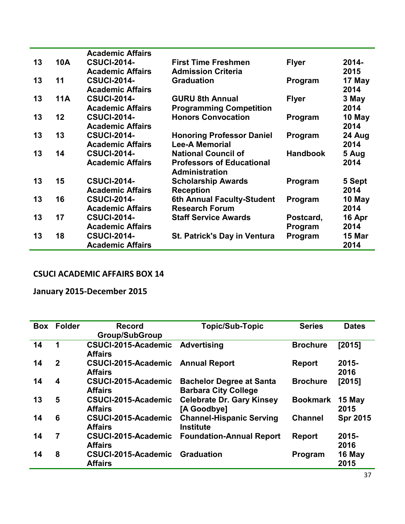|    |            | <b>Academic Affairs</b> |                                     |                 |        |
|----|------------|-------------------------|-------------------------------------|-----------------|--------|
| 13 | <b>10A</b> | <b>CSUCI-2014-</b>      | <b>First Time Freshmen</b>          | <b>Flyer</b>    | 2014-  |
|    |            | <b>Academic Affairs</b> | <b>Admission Criteria</b>           |                 | 2015   |
| 13 | 11         | <b>CSUCI-2014-</b>      | <b>Graduation</b>                   | Program         | 17 May |
|    |            | <b>Academic Affairs</b> |                                     |                 | 2014   |
| 13 | <b>11A</b> | <b>CSUCI-2014-</b>      | <b>GURU 8th Annual</b>              | <b>Flyer</b>    | 3 May  |
|    |            | <b>Academic Affairs</b> | <b>Programming Competition</b>      |                 | 2014   |
| 13 | 12         | <b>CSUCI-2014-</b>      | <b>Honors Convocation</b>           | Program         | 10 May |
|    |            | <b>Academic Affairs</b> |                                     |                 | 2014   |
| 13 | 13         | <b>CSUCI-2014-</b>      | <b>Honoring Professor Daniel</b>    | Program         | 24 Aug |
|    |            | <b>Academic Affairs</b> | <b>Lee-A Memorial</b>               |                 | 2014   |
| 13 | 14         | <b>CSUCI-2014-</b>      | <b>National Council of</b>          | <b>Handbook</b> | 5 Aug  |
|    |            | <b>Academic Affairs</b> | <b>Professors of Educational</b>    |                 | 2014   |
|    |            |                         | <b>Administration</b>               |                 |        |
| 13 | 15         | <b>CSUCI-2014-</b>      | <b>Scholarship Awards</b>           | Program         | 5 Sept |
|    |            | <b>Academic Affairs</b> | <b>Reception</b>                    |                 | 2014   |
| 13 | 16         | <b>CSUCI-2014-</b>      | 6th Annual Faculty-Student          | Program         | 10 May |
|    |            | <b>Academic Affairs</b> | <b>Research Forum</b>               |                 | 2014   |
| 13 | 17         | <b>CSUCI-2014-</b>      | <b>Staff Service Awards</b>         | Postcard,       | 16 Apr |
|    |            | <b>Academic Affairs</b> |                                     | Program         | 2014   |
| 13 | 18         | <b>CSUCI-2014-</b>      | <b>St. Patrick's Day in Ventura</b> | Program         | 15 Mar |
|    |            | <b>Academic Affairs</b> |                                     |                 | 2014   |

**January 2015-December 2015**

| <b>Box</b> | <b>Folder</b>           | <b>Record</b>                            | <b>Topic/Sub-Topic</b>           | <b>Series</b>   | <b>Dates</b>    |
|------------|-------------------------|------------------------------------------|----------------------------------|-----------------|-----------------|
|            |                         | <b>Group/SubGroup</b>                    |                                  |                 |                 |
| 14         | 1                       | CSUCI-2015-Academic<br><b>Affairs</b>    | <b>Advertising</b>               | <b>Brochure</b> | [2015]          |
|            |                         |                                          |                                  |                 |                 |
| 14         | $\overline{2}$          | <b>CSUCI-2015-Academic Annual Report</b> |                                  | <b>Report</b>   | $2015 -$        |
|            |                         | <b>Affairs</b>                           |                                  |                 | 2016            |
| 14         | $\overline{\mathbf{4}}$ | CSUCI-2015-Academic                      | <b>Bachelor Degree at Santa</b>  | <b>Brochure</b> | [2015]          |
|            |                         | <b>Affairs</b>                           | <b>Barbara City College</b>      |                 |                 |
| 13         | $5\phantom{1}$          | CSUCI-2015-Academic                      | <b>Celebrate Dr. Gary Kinsey</b> | <b>Bookmark</b> | 15 May          |
|            |                         | <b>Affairs</b>                           | [A Goodbye]                      |                 | 2015            |
| 14         | 6                       | CSUCI-2015-Academic                      | <b>Channel-Hispanic Serving</b>  | <b>Channel</b>  | <b>Spr 2015</b> |
|            |                         | <b>Affairs</b>                           | <b>Institute</b>                 |                 |                 |
| 14         | $\overline{7}$          | CSUCI-2015-Academic                      | <b>Foundation-Annual Report</b>  | <b>Report</b>   | $2015 -$        |
|            |                         | <b>Affairs</b>                           |                                  |                 | 2016            |
| 14         | 8                       | CSUCI-2015-Academic                      | <b>Graduation</b>                | Program         | 16 May          |
|            |                         | <b>Affairs</b>                           |                                  |                 | 2015            |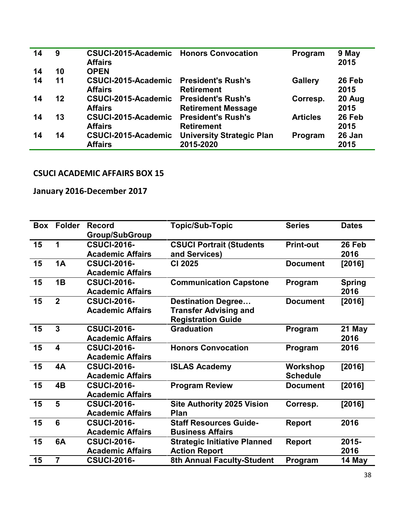| 14 | 9  | <b>CSUCI-2015-Academic Honors Convocation</b><br><b>Affairs</b> |                                                        | Program         | 9 May<br>2015  |
|----|----|-----------------------------------------------------------------|--------------------------------------------------------|-----------------|----------------|
| 14 | 10 | <b>OPEN</b>                                                     |                                                        |                 |                |
| 14 | 11 | CSUCI-2015-Academic<br><b>Affairs</b>                           | <b>President's Rush's</b><br><b>Retirement</b>         | <b>Gallery</b>  | 26 Feb<br>2015 |
| 14 | 12 | CSUCI-2015-Academic<br><b>Affairs</b>                           | <b>President's Rush's</b><br><b>Retirement Message</b> | Corresp.        | 20 Aug<br>2015 |
| 14 | 13 | CSUCI-2015-Academic<br><b>Affairs</b>                           | <b>President's Rush's</b><br><b>Retirement</b>         | <b>Articles</b> | 26 Feb<br>2015 |
| 14 | 14 | CSUCI-2015-Academic<br><b>Affairs</b>                           | <b>University Strategic Plan</b><br>2015-2020          | Program         | 26 Jan<br>2015 |

## **January 2016-December 2017**

| Box | <b>Folder</b>           | <b>Record</b>           | <b>Topic/Sub-Topic</b>              | <b>Series</b>    | <b>Dates</b>  |
|-----|-------------------------|-------------------------|-------------------------------------|------------------|---------------|
|     |                         | <b>Group/SubGroup</b>   |                                     |                  |               |
| 15  | $\mathbf{1}$            | <b>CSUCI-2016-</b>      | <b>CSUCI Portrait (Students</b>     | <b>Print-out</b> | 26 Feb        |
|     |                         | <b>Academic Affairs</b> | and Services)                       |                  | 2016          |
| 15  | <b>1A</b>               | <b>CSUCI-2016-</b>      | <b>CI 2025</b>                      | <b>Document</b>  | [2016]        |
|     |                         | <b>Academic Affairs</b> |                                     |                  |               |
| 15  | 1B                      | <b>CSUCI-2016-</b>      | <b>Communication Capstone</b>       | Program          | <b>Spring</b> |
|     |                         | <b>Academic Affairs</b> |                                     |                  | 2016          |
| 15  | $\overline{2}$          | <b>CSUCI-2016-</b>      | <b>Destination Degree</b>           | <b>Document</b>  | [2016]        |
|     |                         | <b>Academic Affairs</b> | <b>Transfer Advising and</b>        |                  |               |
|     |                         |                         | <b>Registration Guide</b>           |                  |               |
| 15  | $\overline{3}$          | <b>CSUCI-2016-</b>      | <b>Graduation</b>                   | Program          | 21 May        |
|     |                         | <b>Academic Affairs</b> |                                     |                  | 2016          |
| 15  | $\overline{\mathbf{4}}$ | <b>CSUCI-2016-</b>      | <b>Honors Convocation</b>           | Program          | 2016          |
|     |                         | <b>Academic Affairs</b> |                                     |                  |               |
| 15  | 4A                      | <b>CSUCI-2016-</b>      | <b>ISLAS Academy</b>                | <b>Workshop</b>  | [2016]        |
|     |                         | <b>Academic Affairs</b> |                                     | <b>Schedule</b>  |               |
| 15  | 4B                      | <b>CSUCI-2016-</b>      | <b>Program Review</b>               | <b>Document</b>  | [2016]        |
|     |                         | <b>Academic Affairs</b> |                                     |                  |               |
| 15  | 5                       | <b>CSUCI-2016-</b>      | <b>Site Authority 2025 Vision</b>   | Corresp.         | [2016]        |
|     |                         | <b>Academic Affairs</b> | Plan                                |                  |               |
| 15  | $6\phantom{1}$          | <b>CSUCI-2016-</b>      | <b>Staff Resources Guide-</b>       | <b>Report</b>    | 2016          |
|     |                         | <b>Academic Affairs</b> | <b>Business Affairs</b>             |                  |               |
| 15  | 6A                      | <b>CSUCI-2016-</b>      | <b>Strategic Initiative Planned</b> | <b>Report</b>    | 2015-         |
|     |                         | <b>Academic Affairs</b> | <b>Action Report</b>                |                  | 2016          |
| 15  | $\overline{7}$          | <b>CSUCI-2016-</b>      | <b>8th Annual Faculty-Student</b>   | Program          | 14 May        |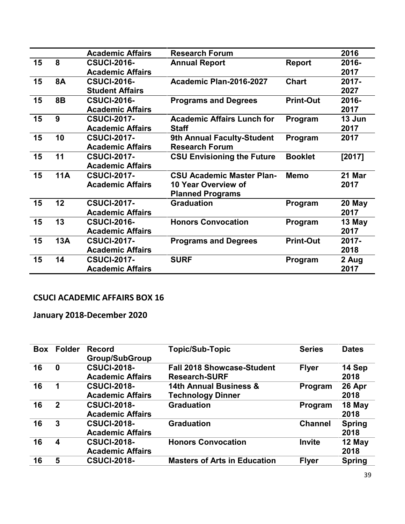|    |            | <b>Academic Affairs</b> | <b>Research Forum</b>             |                  | 2016     |
|----|------------|-------------------------|-----------------------------------|------------------|----------|
| 15 | 8          | <b>CSUCI-2016-</b>      | <b>Annual Report</b>              | <b>Report</b>    | 2016-    |
|    |            | <b>Academic Affairs</b> |                                   |                  | 2017     |
| 15 | <b>8A</b>  | <b>CSUCI-2016-</b>      | Academic Plan-2016-2027           | <b>Chart</b>     | 2017-    |
|    |            | <b>Student Affairs</b>  |                                   |                  | 2027     |
| 15 | <b>8B</b>  | <b>CSUCI-2016-</b>      | <b>Programs and Degrees</b>       | <b>Print-Out</b> | 2016-    |
|    |            | <b>Academic Affairs</b> |                                   |                  | 2017     |
| 15 | 9          | <b>CSUCI-2017-</b>      | <b>Academic Affairs Lunch for</b> | Program          | 13 Jun   |
|    |            | <b>Academic Affairs</b> | <b>Staff</b>                      |                  | 2017     |
| 15 | 10         | <b>CSUCI-2017-</b>      | <b>9th Annual Faculty-Student</b> | Program          | 2017     |
|    |            | <b>Academic Affairs</b> | <b>Research Forum</b>             |                  |          |
| 15 | 11         | <b>CSUCI-2017-</b>      | <b>CSU Envisioning the Future</b> | <b>Booklet</b>   | [2017]   |
|    |            | <b>Academic Affairs</b> |                                   |                  |          |
| 15 | <b>11A</b> | <b>CSUCI-2017-</b>      | <b>CSU Academic Master Plan-</b>  | <b>Memo</b>      | 21 Mar   |
|    |            | <b>Academic Affairs</b> | 10 Year Overview of               |                  | 2017     |
|    |            |                         | <b>Planned Programs</b>           |                  |          |
| 15 | 12         | <b>CSUCI-2017-</b>      | <b>Graduation</b>                 | Program          | 20 May   |
|    |            | <b>Academic Affairs</b> |                                   |                  | 2017     |
| 15 | 13         | <b>CSUCI-2016-</b>      | <b>Honors Convocation</b>         | Program          | 13 May   |
|    |            | <b>Academic Affairs</b> |                                   |                  | 2017     |
| 15 | 13A        | <b>CSUCI-2017-</b>      | <b>Programs and Degrees</b>       | <b>Print-Out</b> | $2017 -$ |
|    |            | <b>Academic Affairs</b> |                                   |                  | 2018     |
| 15 | 14         | <b>CSUCI-2017-</b>      | <b>SURF</b>                       | Program          | 2 Aug    |
|    |            | <b>Academic Affairs</b> |                                   |                  | 2017     |

**January 2018-December 2020**

| Box | <b>Folder</b> | <b>Record</b><br><b>Group/SubGroup</b>        | <b>Topic/Sub-Topic</b>                                    | <b>Series</b>  | <b>Dates</b>          |
|-----|---------------|-----------------------------------------------|-----------------------------------------------------------|----------------|-----------------------|
| 16  | $\bf{0}$      | <b>CSUCI-2018-</b><br><b>Academic Affairs</b> | <b>Fall 2018 Showcase-Student</b><br><b>Research-SURF</b> | <b>Flyer</b>   | 14 Sep<br>2018        |
| 16  | 1             | <b>CSUCI-2018-</b><br><b>Academic Affairs</b> | 14th Annual Business &<br><b>Technology Dinner</b>        | Program        | 26 Apr<br>2018        |
| 16  | $\mathbf{2}$  | <b>CSUCI-2018-</b><br><b>Academic Affairs</b> | <b>Graduation</b>                                         | Program        | 18 May<br>2018        |
| 16  | 3             | <b>CSUCI-2018-</b><br><b>Academic Affairs</b> | <b>Graduation</b>                                         | <b>Channel</b> | <b>Spring</b><br>2018 |
| 16  | 4             | <b>CSUCI-2018-</b><br><b>Academic Affairs</b> | <b>Honors Convocation</b>                                 | <b>Invite</b>  | 12 May<br>2018        |
| 16  | 5             | <b>CSUCI-2018-</b>                            | <b>Masters of Arts in Education</b>                       | <b>Flyer</b>   | <b>Spring</b>         |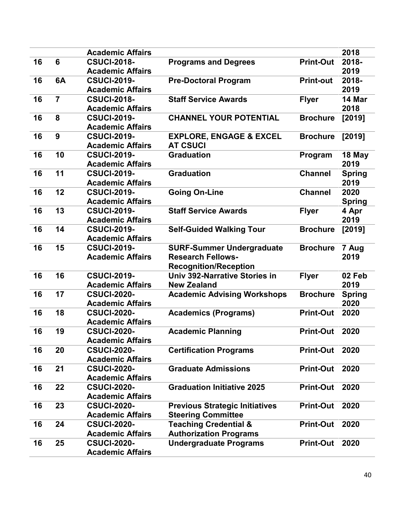|    |                | <b>Academic Affairs</b>                       |                                       |                  | 2018          |
|----|----------------|-----------------------------------------------|---------------------------------------|------------------|---------------|
| 16 | 6              | <b>CSUCI-2018-</b>                            | <b>Programs and Degrees</b>           | <b>Print-Out</b> | 2018-         |
|    |                | <b>Academic Affairs</b>                       |                                       |                  | 2019          |
| 16 | 6A             | <b>CSUCI-2019-</b>                            | <b>Pre-Doctoral Program</b>           | <b>Print-out</b> | 2018-         |
|    |                | <b>Academic Affairs</b>                       |                                       |                  | 2019          |
| 16 | $\overline{7}$ | <b>CSUCI-2018-</b>                            | <b>Staff Service Awards</b>           | <b>Flyer</b>     | 14 Mar        |
|    |                | <b>Academic Affairs</b>                       |                                       |                  | 2018          |
| 16 | 8              | <b>CSUCI-2019-</b>                            | <b>CHANNEL YOUR POTENTIAL</b>         | <b>Brochure</b>  | [2019]        |
|    |                | <b>Academic Affairs</b>                       |                                       |                  |               |
| 16 | 9              | <b>CSUCI-2019-</b>                            | <b>EXPLORE, ENGAGE &amp; EXCEL</b>    | <b>Brochure</b>  | [2019]        |
|    |                | <b>Academic Affairs</b>                       | <b>AT CSUCI</b>                       |                  |               |
| 16 | 10             | <b>CSUCI-2019-</b>                            | <b>Graduation</b>                     | Program          | 18 May        |
|    |                | <b>Academic Affairs</b>                       |                                       |                  | 2019          |
| 16 | 11             | <b>CSUCI-2019-</b>                            | <b>Graduation</b>                     | <b>Channel</b>   | <b>Spring</b> |
|    |                | <b>Academic Affairs</b>                       |                                       |                  | 2019          |
| 16 | 12             | <b>CSUCI-2019-</b>                            | <b>Going On-Line</b>                  | <b>Channel</b>   | 2020          |
|    |                | <b>Academic Affairs</b>                       |                                       |                  | <b>Spring</b> |
| 16 | 13             | <b>CSUCI-2019-</b>                            | <b>Staff Service Awards</b>           | <b>Flyer</b>     | 4 Apr         |
|    |                | <b>Academic Affairs</b>                       |                                       |                  | 2019          |
| 16 | 14             | <b>CSUCI-2019-</b>                            | <b>Self-Guided Walking Tour</b>       | <b>Brochure</b>  | [2019]        |
|    |                | <b>Academic Affairs</b>                       |                                       |                  |               |
| 16 | 15             | <b>CSUCI-2019-</b>                            | <b>SURF-Summer Undergraduate</b>      | <b>Brochure</b>  | 7 Aug         |
|    |                | <b>Academic Affairs</b>                       | <b>Research Fellows-</b>              |                  | 2019          |
|    |                |                                               | <b>Recognition/Reception</b>          |                  |               |
| 16 | 16             | <b>CSUCI-2019-</b>                            | Univ 392-Narrative Stories in         | <b>Flyer</b>     | 02 Feb        |
|    |                | <b>Academic Affairs</b>                       | <b>New Zealand</b>                    |                  | 2019          |
| 16 | 17             | <b>CSUCI-2020-</b>                            | <b>Academic Advising Workshops</b>    | <b>Brochure</b>  | <b>Spring</b> |
|    |                | <b>Academic Affairs</b>                       |                                       |                  | 2020          |
| 16 | 18             | <b>CSUCI-2020-</b><br><b>Academic Affairs</b> | <b>Academics (Programs)</b>           | <b>Print-Out</b> | 2020          |
| 16 | 19             | <b>CSUCI-2020-</b>                            | <b>Academic Planning</b>              | <b>Print-Out</b> | 2020          |
|    |                |                                               |                                       |                  |               |
| 16 | 20             | <b>Academic Affairs</b><br><b>CSUCI-2020-</b> | <b>Certification Programs</b>         | <b>Print-Out</b> | 2020          |
|    |                | <b>Academic Affairs</b>                       |                                       |                  |               |
| 16 | 21             | <b>CSUCI-2020-</b>                            | <b>Graduate Admissions</b>            | <b>Print-Out</b> | 2020          |
|    |                | <b>Academic Affairs</b>                       |                                       |                  |               |
| 16 | 22             | <b>CSUCI-2020-</b>                            | <b>Graduation Initiative 2025</b>     | <b>Print-Out</b> | 2020          |
|    |                | <b>Academic Affairs</b>                       |                                       |                  |               |
| 16 | 23             | <b>CSUCI-2020-</b>                            | <b>Previous Strategic Initiatives</b> | <b>Print-Out</b> | 2020          |
|    |                | <b>Academic Affairs</b>                       | <b>Steering Committee</b>             |                  |               |
| 16 | 24             | <b>CSUCI-2020-</b>                            | <b>Teaching Credential &amp;</b>      | <b>Print-Out</b> | 2020          |
|    |                | <b>Academic Affairs</b>                       | <b>Authorization Programs</b>         |                  |               |
| 16 | 25             | <b>CSUCI-2020-</b>                            | <b>Undergraduate Programs</b>         | <b>Print-Out</b> | 2020          |
|    |                | <b>Academic Affairs</b>                       |                                       |                  |               |
|    |                |                                               |                                       |                  |               |